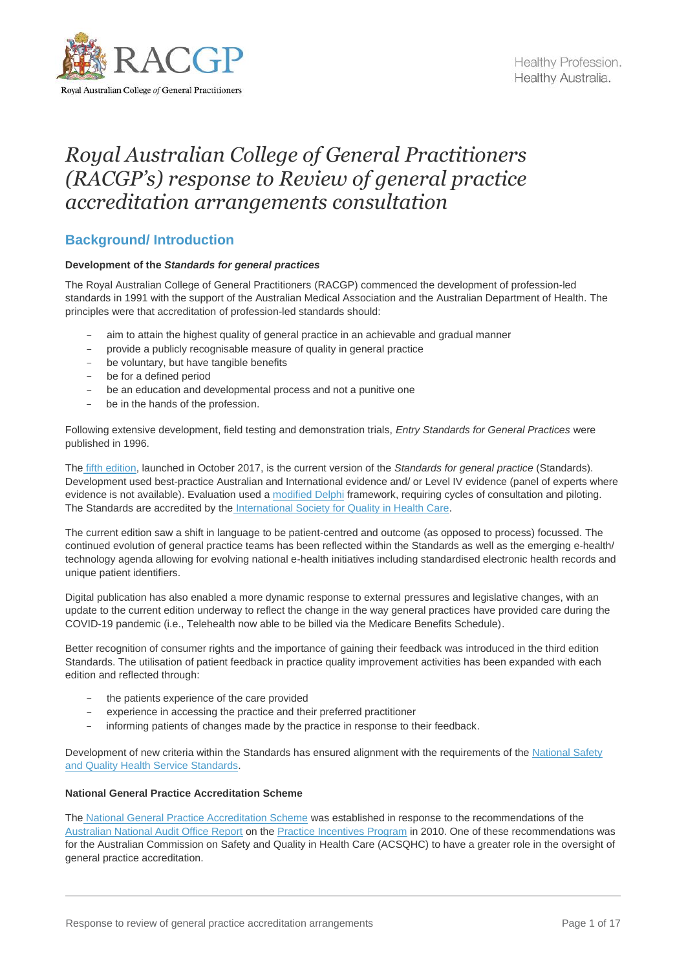

# *Royal Australian College of General Practitioners (RACGP's) response to Review of general practice accreditation arrangements consultation*

## **Background/ Introduction**

## **Development of the** *Standards for general practices*

The Royal Australian College of General Practitioners (RACGP) commenced the development of profession-led standards in 1991 with the support of the Australian Medical Association and the Australian Department of Health. The principles were that accreditation of profession-led standards should:

- aim to attain the highest quality of general practice in an achievable and gradual manner
- provide a publicly recognisable measure of quality in general practice
- be voluntary, but have tangible benefits
- be for a defined period
- be an education and developmental process and not a punitive one
- be in the hands of the profession.

Following extensive development, field testing and demonstration trials, *Entry Standards for General Practices* were published in 1996.

The [fifth edition,](https://www.racgp.org.au/FSDEDEV/media/documents/Running%20a%20practice/Practice%20standards/5th%20edition/Standards-for-general-practice-5th-edition.pdf) launched in October 2017, is the current version of the *Standards for general practice* (Standards). Development used best-practice Australian and International evidence and/ or Level IV evidence (panel of experts where evidence is not available). Evaluation used a [modified Delphi](https://researchonline.nd.edu.au/cgi/viewcontent.cgi?article=1929&context=med_article) framework, requiring cycles of consultation and piloting. The Standards are accredited by the [International Society for Quality in Health Care.](https://isqua.org/)

The current edition saw a shift in language to be patient-centred and outcome (as opposed to process) focussed. The continued evolution of general practice teams has been reflected within the Standards as well as the emerging e-health/ technology agenda allowing for evolving national e-health initiatives including standardised electronic health records and unique patient identifiers.

Digital publication has also enabled a more dynamic response to external pressures and legislative changes, with an update to the current edition underway to reflect the change in the way general practices have provided care during the COVID-19 pandemic (i.e., Telehealth now able to be billed via the Medicare Benefits Schedule).

Better recognition of consumer rights and the importance of gaining their feedback was introduced in the third edition Standards. The utilisation of patient feedback in practice quality improvement activities has been expanded with each edition and reflected through:

- the patients experience of the care provided
- experience in accessing the practice and their preferred practitioner
- informing patients of changes made by the practice in response to their feedback.

Development of new criteria within the Standards has ensured alignment with the requirements of the [National Safety](https://www.safetyandquality.gov.au/standards/nsqhs-standards)  [and Quality Health Service Standards.](https://www.safetyandquality.gov.au/standards/nsqhs-standards)

## **National General Practice Accreditation Scheme**

The [National General Practice Accreditation Scheme](https://www.safetyandquality.gov.au/our-work/primary-health-care/national-general-practice-accreditation-scheme) was established in response to the recommendations of the [Australian National Audit Office Report](https://www.anao.gov.au/work/performance-audit/practice-incentives-program#:~:text=General%20practice%20accreditation%20was%20designed,patient%20care%20that%20they%20provide.) on the [Practice Incentives Program](https://www.servicesaustralia.gov.au/organisations/health-professionals/services/medicare/practice-incentives-program) in 2010. One of these recommendations was for the Australian Commission on Safety and Quality in Health Care (ACSQHC) to have a greater role in the oversight of general practice accreditation.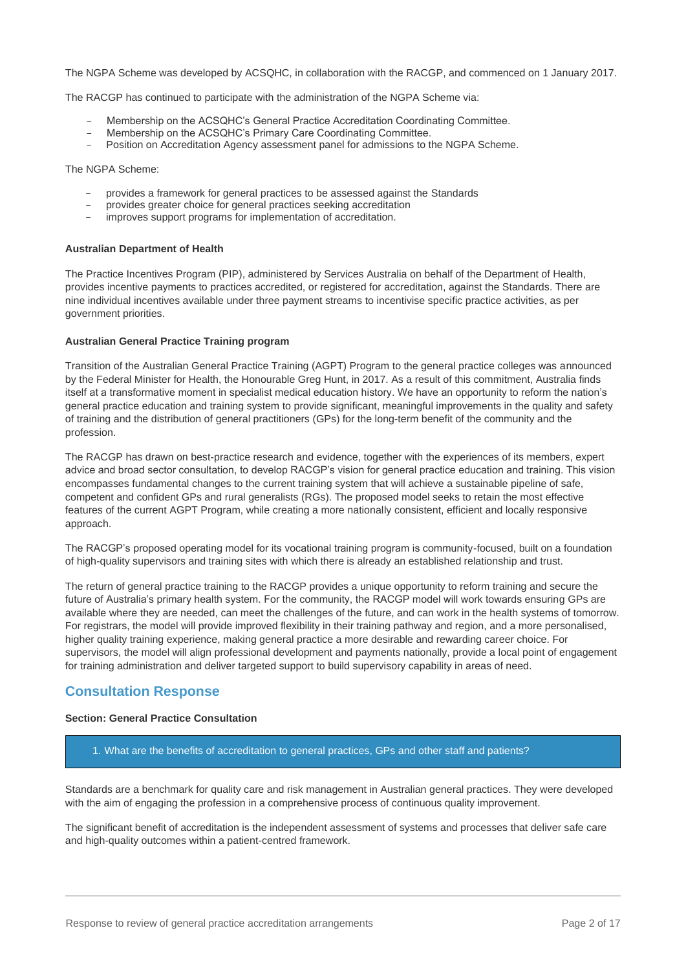The NGPA Scheme was developed by ACSQHC, in collaboration with the RACGP, and commenced on 1 January 2017.

The RACGP has continued to participate with the administration of the NGPA Scheme via:

- Membership on the ACSQHC's General Practice Accreditation Coordinating Committee.
- Membership on the ACSQHC's Primary Care Coordinating Committee.
- Position on Accreditation Agency assessment panel for admissions to the NGPA Scheme.

The NGPA Scheme:

- provides a framework for general practices to be assessed against the Standards
- provides greater choice for general practices seeking accreditation
- improves support programs for implementation of accreditation.

#### **Australian Department of Health**

Th[e Practice Incentives Program \(PIP\),](https://www.servicesaustralia.gov.au/organisations/health-professionals/services/medicare/practice-incentives-program) administered by Services Australia on behalf of the Department of Health, provides incentive payments to practices accredited, or registered for accreditation, against the Standards. There are nine individual incentives available under three payment streams to incentivise specific practice activities, as per government priorities.

#### **Australian General Practice Training program**

Transition of the Australian General Practice Training (AGPT) Program to the general practice colleges was announced by the Federal Minister for Health, the Honourable Greg Hunt, in 2017. As a result of this commitment, Australia finds itself at a transformative moment in specialist medical education history. We have an opportunity to reform the nation's general practice education and training system to provide significant, meaningful improvements in the quality and safety of training and the distribution of general practitioners (GPs) for the long-term benefit of the community and the profession.

The RACGP has drawn on best-practice research and evidence, together with the experiences of its members, expert advice and broad sector consultation, to develop RACGP's vision for general practice education and training. This vision encompasses fundamental changes to the current training system that will achieve a sustainable pipeline of safe, competent and confident GPs and rural generalists (RGs). The proposed model seeks to retain the most effective features of the current AGPT Program, while creating a more nationally consistent, efficient and locally responsive approach.

The RACGP's proposed operating model for its vocational training program is community-focused, built on a foundation of high-quality supervisors and training sites with which there is already an established relationship and trust.

The return of general practice training to the RACGP provides a unique opportunity to reform training and secure the future of Australia's primary health system. For the community, the RACGP model will work towards ensuring GPs are available where they are needed, can meet the challenges of the future, and can work in the health systems of tomorrow. For registrars, the model will provide improved flexibility in their training pathway and region, and a more personalised, higher quality training experience, making general practice a more desirable and rewarding career choice. For supervisors, the model will align professional development and payments nationally, provide a local point of engagement for training administration and deliver targeted support to build supervisory capability in areas of need.

## **Consultation Response**

#### **Section: General Practice Consultation**

1. What are the benefits of accreditation to general practices, GPs and other staff and patients?

Standards are a benchmark for quality care and risk management in Australian general practices. They were developed with the aim of engaging the profession in a comprehensive process of continuous quality improvement.

The significant benefit of accreditation is the independent assessment of systems and processes that deliver safe care and high-quality outcomes within a patient-centred framework.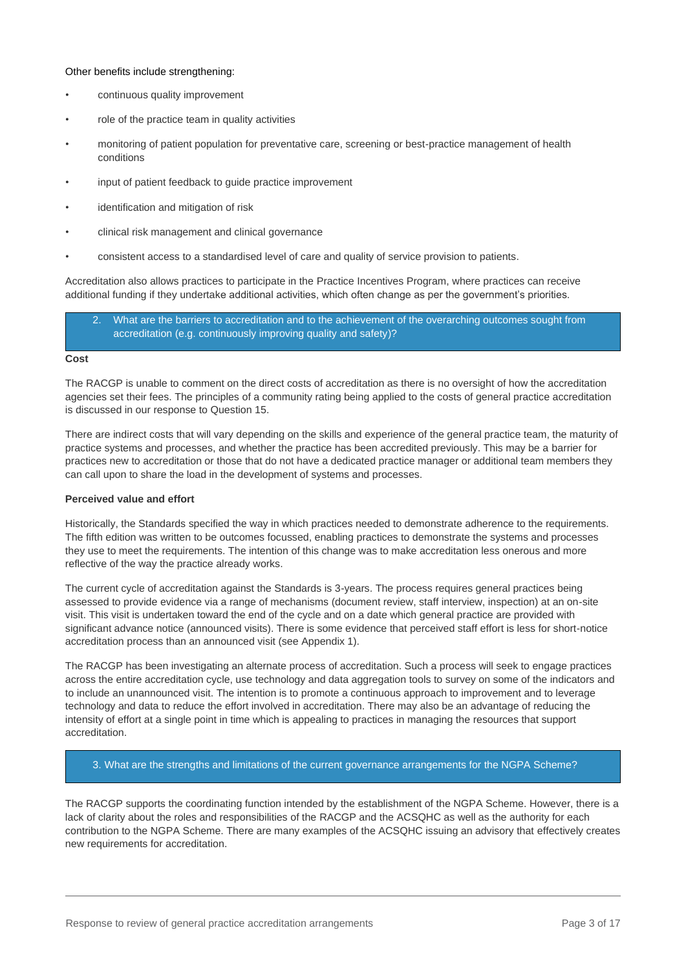#### Other benefits include strengthening:

- continuous quality improvement
- role of the practice team in quality activities
- monitoring of patient population for preventative care, screening or best-practice management of health conditions
- input of patient feedback to guide practice improvement
- identification and mitigation of risk
- clinical risk management and clinical governance
- consistent access to a standardised level of care and quality of service provision to patients.

Accreditation also allows practices to participate in the Practice Incentives Program, where practices can receive additional funding if they undertake additional activities, which often change as per the government's priorities.

| 2. | What are the barriers to accreditation and to the achievement of the overarching outcomes sought from |
|----|-------------------------------------------------------------------------------------------------------|
|    | accreditation (e.g. continuously improving quality and safety)?                                       |

#### **Cost**

The RACGP is unable to comment on the direct costs of accreditation as there is no oversight of how the accreditation agencies set their fees. The principles of a community rating being applied to the costs of general practice accreditation is discussed in our response to Question 15.

There are indirect costs that will vary depending on the skills and experience of the general practice team, the maturity of practice systems and processes, and whether the practice has been accredited previously. This may be a barrier for practices new to accreditation or those that do not have a dedicated practice manager or additional team members they can call upon to share the load in the development of systems and processes.

## **Perceived value and effort**

Historically, the Standards specified the way in which practices needed to demonstrate adherence to the requirements. The fifth edition was written to be outcomes focussed, enabling practices to demonstrate the systems and processes they use to meet the requirements. The intention of this change was to make accreditation less onerous and more reflective of the way the practice already works.

The current cycle of accreditation against the Standards is 3-years. The process requires general practices being assessed to provide evidence via a range of mechanisms (document review, staff interview, inspection) at an on-site visit. This visit is undertaken toward the end of the cycle and on a date which general practice are provided with significant advance notice (announced visits). There is some evidence that perceived staff effort is less for short-notice accreditation process than an announced visit (see Appendix 1).

The RACGP has been investigating an alternate process of accreditation. Such a process will seek to engage practices across the entire accreditation cycle, use technology and data aggregation tools to survey on some of the indicators and to include an unannounced visit. The intention is to promote a continuous approach to improvement and to leverage technology and data to reduce the effort involved in accreditation. There may also be an advantage of reducing the intensity of effort at a single point in time which is appealing to practices in managing the resources that support accreditation.

## 3. What are the strengths and limitations of the current governance arrangements for the NGPA Scheme?

The RACGP supports the coordinating function intended by the establishment of the NGPA Scheme. However, there is a lack of clarity about the roles and responsibilities of the RACGP and the ACSQHC as well as the authority for each contribution to the NGPA Scheme. There are many examples of the ACSQHC issuing an advisory that effectively creates new requirements for accreditation.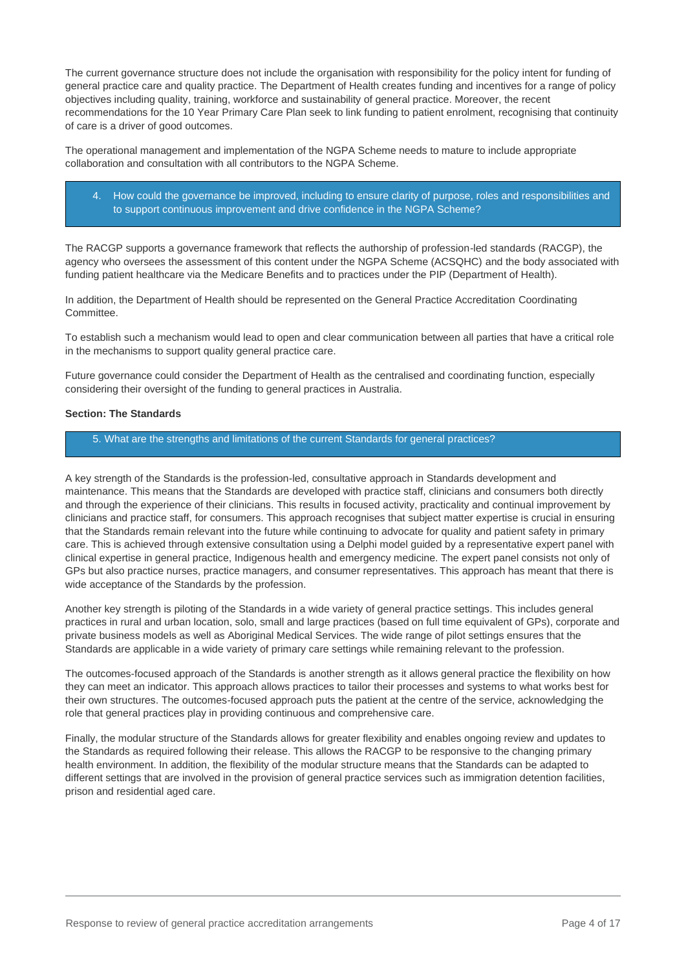The current governance structure does not include the organisation with responsibility for the policy intent for funding of general practice care and quality practice. The Department of Health creates funding and incentives for a range of policy objectives including quality, training, workforce and sustainability of general practice. Moreover, the recent recommendations for the 10 Year Primary Care Plan seek to link funding to patient enrolment, recognising that continuity of care is a driver of good outcomes.

The operational management and implementation of the NGPA Scheme needs to mature to include appropriate collaboration and consultation with all contributors to the NGPA Scheme.

4. How could the governance be improved, including to ensure clarity of purpose, roles and responsibilities and to support continuous improvement and drive confidence in the NGPA Scheme?

The RACGP supports a governance framework that reflects the authorship of profession-led standards (RACGP), the agency who oversees the assessment of this content under the NGPA Scheme (ACSQHC) and the body associated with funding patient healthcare via the Medicare Benefits and to practices under the PIP (Department of Health).

In addition, the Department of Health should be represented on the General Practice Accreditation Coordinating Committee.

To establish such a mechanism would lead to open and clear communication between all parties that have a critical role in the mechanisms to support quality general practice care.

Future governance could consider the Department of Health as the centralised and coordinating function, especially considering their oversight of the funding to general practices in Australia.

#### **Section: The Standards**

## 5. What are the strengths and limitations of the current Standards for general practices?

A key strength of the Standards is the profession-led, consultative approach in Standards development and maintenance. This means that the Standards are developed with practice staff, clinicians and consumers both directly and through the experience of their clinicians. This results in focused activity, practicality and continual improvement by clinicians and practice staff, for consumers. This approach recognises that subject matter expertise is crucial in ensuring that the Standards remain relevant into the future while continuing to advocate for quality and patient safety in primary care. This is achieved through extensive consultation using a Delphi model guided by a representative expert panel with clinical expertise in general practice, Indigenous health and emergency medicine. The expert panel consists not only of GPs but also practice nurses, practice managers, and consumer representatives. This approach has meant that there is wide acceptance of the Standards by the profession.

Another key strength is piloting of the Standards in a wide variety of general practice settings. This includes general practices in rural and urban location, solo, small and large practices (based on full time equivalent of GPs), corporate and private business models as well as Aboriginal Medical Services. The wide range of pilot settings ensures that the Standards are applicable in a wide variety of primary care settings while remaining relevant to the profession.

The outcomes-focused approach of the Standards is another strength as it allows general practice the flexibility on how they can meet an indicator. This approach allows practices to tailor their processes and systems to what works best for their own structures. The outcomes-focused approach puts the patient at the centre of the service, acknowledging the role that general practices play in providing continuous and comprehensive care.

Finally, the modular structure of the Standards allows for greater flexibility and enables ongoing review and updates to the Standards as required following their release. This allows the RACGP to be responsive to the changing primary health environment. In addition, the flexibility of the modular structure means that the Standards can be adapted to different settings that are involved in the provision of general practice services such as immigration detention facilities, prison and residential aged care.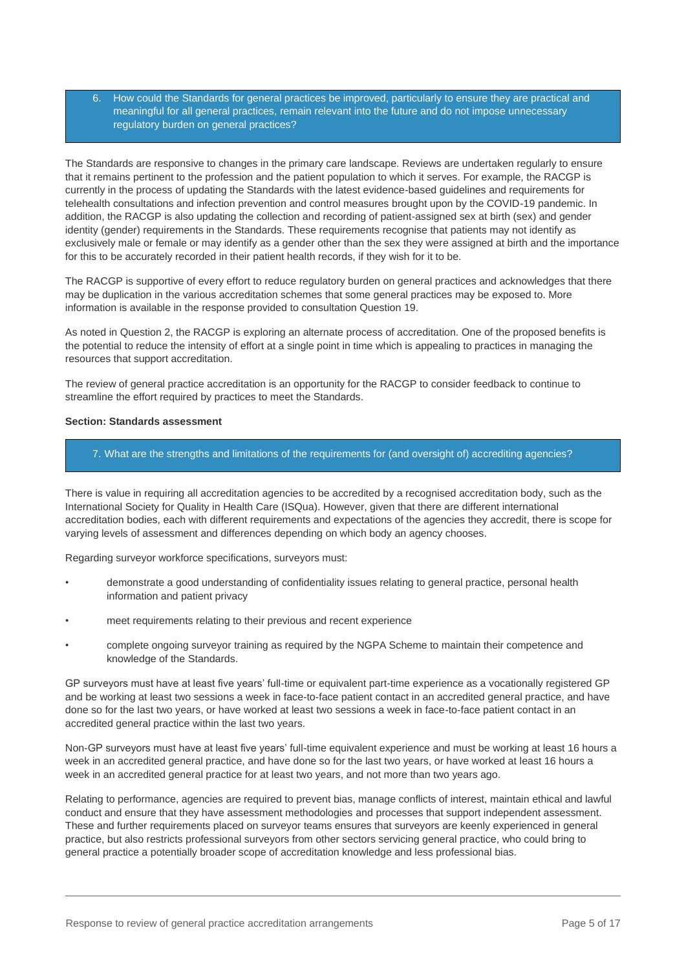6. How could the Standards for general practices be improved, particularly to ensure they are practical and meaningful for all general practices, remain relevant into the future and do not impose unnecessary regulatory burden on general practices?

The Standards are responsive to changes in the primary care landscape. Reviews are undertaken regularly to ensure that it remains pertinent to the profession and the patient population to which it serves. For example, the RACGP is currently in the process of updating the Standards with the latest evidence-based guidelines and requirements for telehealth consultations and infection prevention and control measures brought upon by the COVID-19 pandemic. In addition, the RACGP is also updating the collection and recording of patient-assigned sex at birth (sex) and gender identity (gender) requirements in the Standards. These requirements recognise that patients may not identify as exclusively male or female or may identify as a gender other than the sex they were assigned at birth and the importance for this to be accurately recorded in their patient health records, if they wish for it to be.

The RACGP is supportive of every effort to reduce regulatory burden on general practices and acknowledges that there may be duplication in the various accreditation schemes that some general practices may be exposed to. More information is available in the response provided to consultation Question 19.

As noted in Question 2, the RACGP is exploring an alternate process of accreditation. One of the proposed benefits is the potential to reduce the intensity of effort at a single point in time which is appealing to practices in managing the resources that support accreditation.

The review of general practice accreditation is an opportunity for the RACGP to consider feedback to continue to streamline the effort required by practices to meet the Standards.

## **Section: Standards assessment**

#### 7. What are the strengths and limitations of the requirements for (and oversight of) accrediting agencies?

There is value in requiring all accreditation agencies to be accredited by a recognised accreditation body, such as the International Society for Quality in Health Care (ISQua). However, given that there are different international accreditation bodies, each with different requirements and expectations of the agencies they accredit, there is scope for varying levels of assessment and differences depending on which body an agency chooses.

Regarding surveyor workforce specifications, surveyors must:

- demonstrate a good understanding of confidentiality issues relating to general practice, personal health information and patient privacy
- meet requirements relating to their previous and recent experience
- complete ongoing surveyor training as required by the NGPA Scheme to maintain their competence and knowledge of the Standards.

GP surveyors must have at least five years' full-time or equivalent part-time experience as a vocationally registered GP and be working at least two sessions a week in face-to-face patient contact in an accredited general practice, and have done so for the last two years, or have worked at least two sessions a week in face-to-face patient contact in an accredited general practice within the last two years.

Non-GP surveyors must have at least five years' full-time equivalent experience and must be working at least 16 hours a week in an accredited general practice, and have done so for the last two years, or have worked at least 16 hours a week in an accredited general practice for at least two years, and not more than two years ago.

Relating to performance, agencies are required to prevent bias, manage conflicts of interest, maintain ethical and lawful conduct and ensure that they have assessment methodologies and processes that support independent assessment. These and further requirements placed on surveyor teams ensures that surveyors are keenly experienced in general practice, but also restricts professional surveyors from other sectors servicing general practice, who could bring to general practice a potentially broader scope of accreditation knowledge and less professional bias.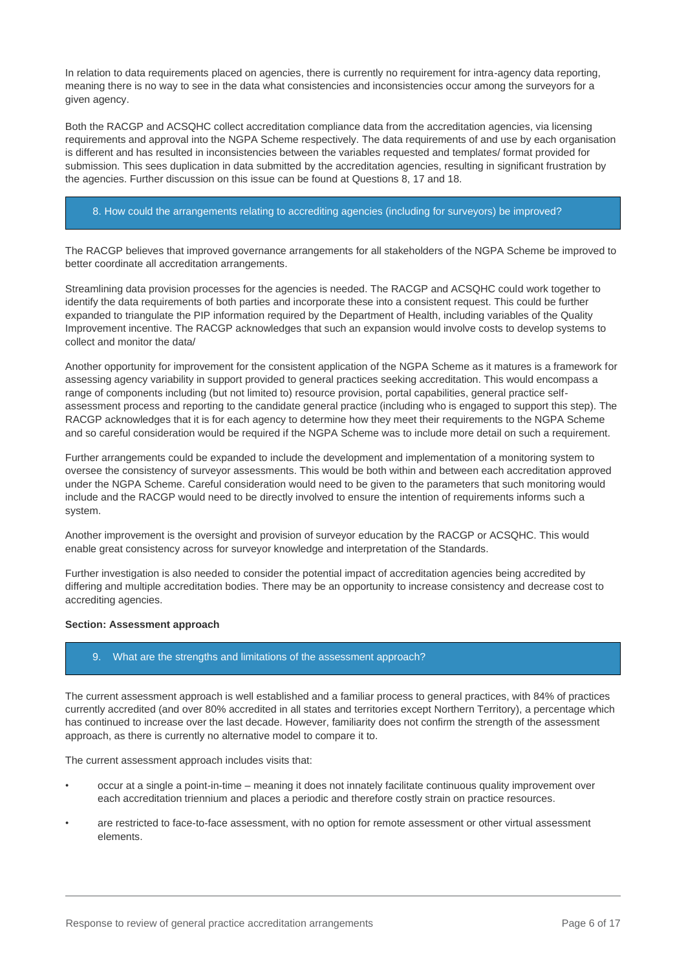In relation to data requirements placed on agencies, there is currently no requirement for intra-agency data reporting, meaning there is no way to see in the data what consistencies and inconsistencies occur among the surveyors for a given agency.

Both the RACGP and ACSQHC collect accreditation compliance data from the accreditation agencies, via licensing requirements and approval into the NGPA Scheme respectively. The data requirements of and use by each organisation is different and has resulted in inconsistencies between the variables requested and templates/ format provided for submission. This sees duplication in data submitted by the accreditation agencies, resulting in significant frustration by the agencies. Further discussion on this issue can be found at Questions 8, 17 and 18.

## 8. How could the arrangements relating to accrediting agencies (including for surveyors) be improved?

The RACGP believes that improved governance arrangements for all stakeholders of the NGPA Scheme be improved to better coordinate all accreditation arrangements.

Streamlining data provision processes for the agencies is needed. The RACGP and ACSQHC could work together to identify the data requirements of both parties and incorporate these into a consistent request. This could be further expanded to triangulate the PIP information required by the Department of Health, including variables of the Quality Improvement incentive. The RACGP acknowledges that such an expansion would involve costs to develop systems to collect and monitor the data/

Another opportunity for improvement for the consistent application of the NGPA Scheme as it matures is a framework for assessing agency variability in support provided to general practices seeking accreditation. This would encompass a range of components including (but not limited to) resource provision, portal capabilities, general practice selfassessment process and reporting to the candidate general practice (including who is engaged to support this step). The RACGP acknowledges that it is for each agency to determine how they meet their requirements to the NGPA Scheme and so careful consideration would be required if the NGPA Scheme was to include more detail on such a requirement.

Further arrangements could be expanded to include the development and implementation of a monitoring system to oversee the consistency of surveyor assessments. This would be both within and between each accreditation approved under the NGPA Scheme. Careful consideration would need to be given to the parameters that such monitoring would include and the RACGP would need to be directly involved to ensure the intention of requirements informs such a system.

Another improvement is the oversight and provision of surveyor education by the RACGP or ACSQHC. This would enable great consistency across for surveyor knowledge and interpretation of the Standards.

Further investigation is also needed to consider the potential impact of accreditation agencies being accredited by differing and multiple accreditation bodies. There may be an opportunity to increase consistency and decrease cost to accrediting agencies.

## **Section: Assessment approach**

#### 9. What are the strengths and limitations of the assessment approach?

The current assessment approach is well established and a familiar process to general practices, with 84% of practices currently accredited (and over 80% accredited in all states and territories except Northern Territory), a percentage which has continued to increase over the last decade. However, familiarity does not confirm the strength of the assessment approach, as there is currently no alternative model to compare it to.

The current assessment approach includes visits that:

- occur at a single a point-in-time meaning it does not innately facilitate continuous quality improvement over each accreditation triennium and places a periodic and therefore costly strain on practice resources.
- are restricted to face-to-face assessment, with no option for remote assessment or other virtual assessment elements.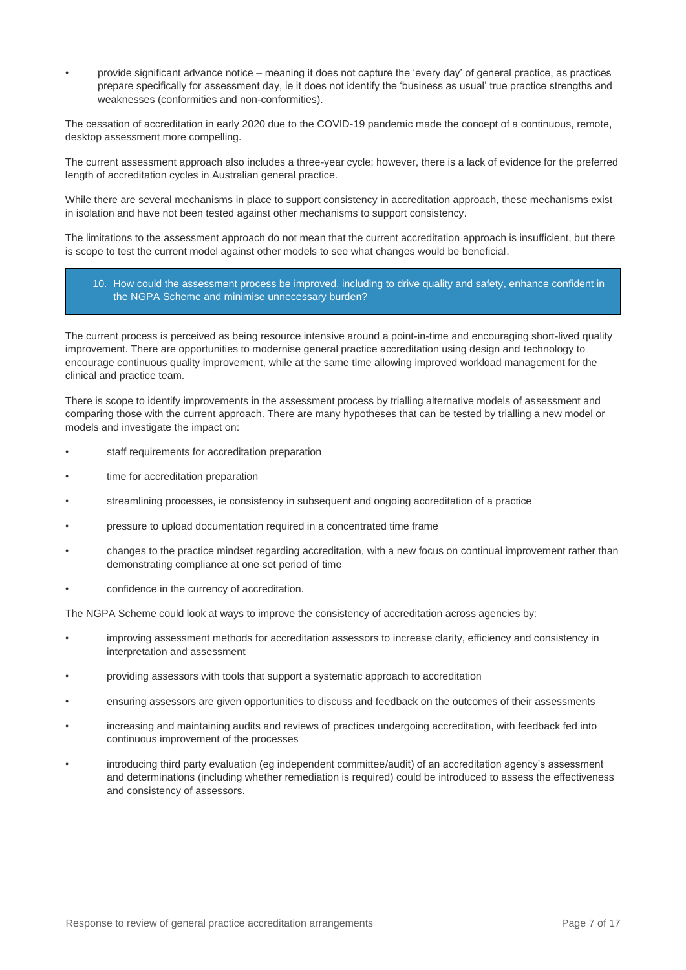• provide significant advance notice – meaning it does not capture the 'every day' of general practice, as practices prepare specifically for assessment day, ie it does not identify the 'business as usual' true practice strengths and weaknesses (conformities and non-conformities).

The cessation of accreditation in early 2020 due to the COVID-19 pandemic made the concept of a continuous, remote, desktop assessment more compelling.

The current assessment approach also includes a three-year cycle; however, there is a lack of evidence for the preferred length of accreditation cycles in Australian general practice.

While there are several mechanisms in place to support consistency in accreditation approach, these mechanisms exist in isolation and have not been tested against other mechanisms to support consistency.

The limitations to the assessment approach do not mean that the current accreditation approach is insufficient, but there is scope to test the current model against other models to see what changes would be beneficial.

## 10. How could the assessment process be improved, including to drive quality and safety, enhance confident in the NGPA Scheme and minimise unnecessary burden?

The current process is perceived as being resource intensive around a point-in-time and encouraging short-lived quality improvement. There are opportunities to modernise general practice accreditation using design and technology to encourage continuous quality improvement, while at the same time allowing improved workload management for the clinical and practice team.

There is scope to identify improvements in the assessment process by trialling alternative models of assessment and comparing those with the current approach. There are many hypotheses that can be tested by trialling a new model or models and investigate the impact on:

- staff requirements for accreditation preparation
- time for accreditation preparation
- streamlining processes, ie consistency in subsequent and ongoing accreditation of a practice
- pressure to upload documentation required in a concentrated time frame
- changes to the practice mindset regarding accreditation, with a new focus on continual improvement rather than demonstrating compliance at one set period of time
- confidence in the currency of accreditation.

The NGPA Scheme could look at ways to improve the consistency of accreditation across agencies by:

- improving assessment methods for accreditation assessors to increase clarity, efficiency and consistency in interpretation and assessment
- providing assessors with tools that support a systematic approach to accreditation
- ensuring assessors are given opportunities to discuss and feedback on the outcomes of their assessments
- increasing and maintaining audits and reviews of practices undergoing accreditation, with feedback fed into continuous improvement of the processes
- introducing third party evaluation (eg independent committee/audit) of an accreditation agency's assessment and determinations (including whether remediation is required) could be introduced to assess the effectiveness and consistency of assessors.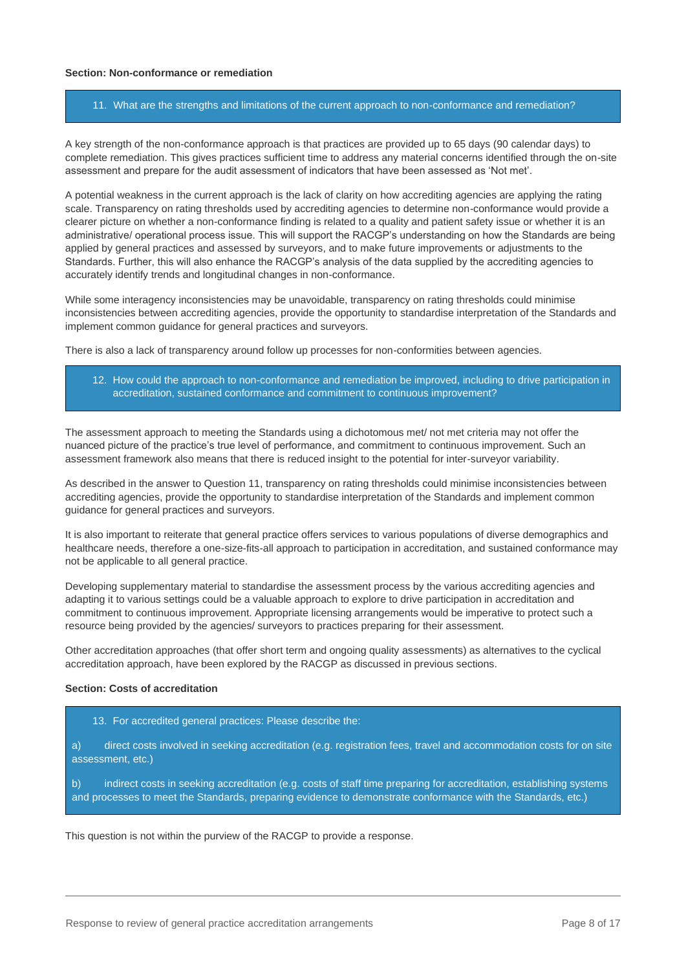#### **Section: Non-conformance or remediation**

#### 11. What are the strengths and limitations of the current approach to non-conformance and remediation?

A key strength of the non-conformance approach is that practices are provided up to 65 days (90 calendar days) to complete remediation. This gives practices sufficient time to address any material concerns identified through the on-site assessment and prepare for the audit assessment of indicators that have been assessed as 'Not met'.

A potential weakness in the current approach is the lack of clarity on how accrediting agencies are applying the rating scale. Transparency on rating thresholds used by accrediting agencies to determine non-conformance would provide a clearer picture on whether a non-conformance finding is related to a quality and patient safety issue or whether it is an administrative/ operational process issue. This will support the RACGP's understanding on how the Standards are being applied by general practices and assessed by surveyors, and to make future improvements or adjustments to the Standards. Further, this will also enhance the RACGP's analysis of the data supplied by the accrediting agencies to accurately identify trends and longitudinal changes in non-conformance.

While some interagency inconsistencies may be unavoidable, transparency on rating thresholds could minimise inconsistencies between accrediting agencies, provide the opportunity to standardise interpretation of the Standards and implement common guidance for general practices and surveyors.

There is also a lack of transparency around follow up processes for non-conformities between agencies.

12. How could the approach to non-conformance and remediation be improved, including to drive participation in accreditation, sustained conformance and commitment to continuous improvement?

The assessment approach to meeting the Standards using a dichotomous met/ not met criteria may not offer the nuanced picture of the practice's true level of performance, and commitment to continuous improvement. Such an assessment framework also means that there is reduced insight to the potential for inter-surveyor variability.

As described in the answer to Question 11, transparency on rating thresholds could minimise inconsistencies between accrediting agencies, provide the opportunity to standardise interpretation of the Standards and implement common guidance for general practices and surveyors.

It is also important to reiterate that general practice offers services to various populations of diverse demographics and healthcare needs, therefore a one-size-fits-all approach to participation in accreditation, and sustained conformance may not be applicable to all general practice.

Developing supplementary material to standardise the assessment process by the various accrediting agencies and adapting it to various settings could be a valuable approach to explore to drive participation in accreditation and commitment to continuous improvement. Appropriate licensing arrangements would be imperative to protect such a resource being provided by the agencies/ surveyors to practices preparing for their assessment.

Other accreditation approaches (that offer short term and ongoing quality assessments) as alternatives to the cyclical accreditation approach, have been explored by the RACGP as discussed in previous sections.

## **Section: Costs of accreditation**

- 13. For accredited general practices: Please describe the:
- a) direct costs involved in seeking accreditation (e.g. registration fees, travel and accommodation costs for on site assessment, etc.)

b) indirect costs in seeking accreditation (e.g. costs of staff time preparing for accreditation, establishing systems and processes to meet the Standards, preparing evidence to demonstrate conformance with the Standards, etc.)

This question is not within the purview of the RACGP to provide a response.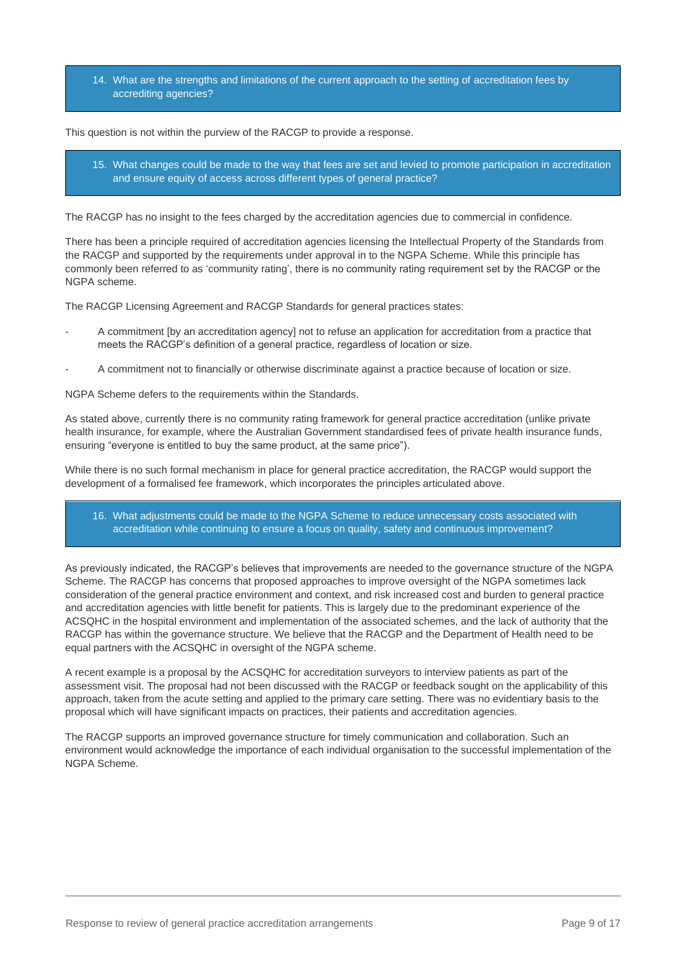14. What are the strengths and limitations of the current approach to the setting of accreditation fees by accrediting agencies?

This question is not within the purview of the RACGP to provide a response.

15. What changes could be made to the way that fees are set and levied to promote participation in accreditation and ensure equity of access across different types of general practice?

The RACGP has no insight to the fees charged by the accreditation agencies due to commercial in confidence.

There has been a principle required of accreditation agencies licensing the Intellectual Property of the Standards from the RACGP and supported by the requirements under approval in to the NGPA Scheme. While this principle has commonly been referred to as 'community rating', there is no community rating requirement set by the RACGP or the NGPA scheme.

The RACGP Licensing Agreement and RACGP Standards for general practices states:

- A commitment [by an accreditation agency] not to refuse an application for accreditation from a practice that meets the RACGP's definition of a general practice, regardless of location or size.
- A commitment not to financially or otherwise discriminate against a practice because of location or size.

NGPA Scheme defers to the requirements within the Standards.

As stated above, currently there is no community rating framework for general practice accreditation (unlike private health insurance, for example, where the Australian Government standardised fees of private health insurance funds, ensuring "everyone is entitled to buy the same product, at the same price").

While there is no such formal mechanism in place for general practice accreditation, the RACGP would support the development of a formalised fee framework, which incorporates the principles articulated above.

16. What adjustments could be made to the NGPA Scheme to reduce unnecessary costs associated with accreditation while continuing to ensure a focus on quality, safety and continuous improvement?

As previously indicated, the RACGP's believes that improvements are needed to the governance structure of the NGPA Scheme. The RACGP has concerns that proposed approaches to improve oversight of the NGPA sometimes lack consideration of the general practice environment and context, and risk increased cost and burden to general practice and accreditation agencies with little benefit for patients. This is largely due to the predominant experience of the ACSQHC in the hospital environment and implementation of the associated schemes, and the lack of authority that the RACGP has within the governance structure. We believe that the RACGP and the Department of Health need to be equal partners with the ACSQHC in oversight of the NGPA scheme.

A recent example is a proposal by the ACSQHC for accreditation surveyors to interview patients as part of the assessment visit. The proposal had not been discussed with the RACGP or feedback sought on the applicability of this approach, taken from the acute setting and applied to the primary care setting. There was no evidentiary basis to the proposal which will have significant impacts on practices, their patients and accreditation agencies.

The RACGP supports an improved governance structure for timely communication and collaboration. Such an environment would acknowledge the importance of each individual organisation to the successful implementation of the NGPA Scheme.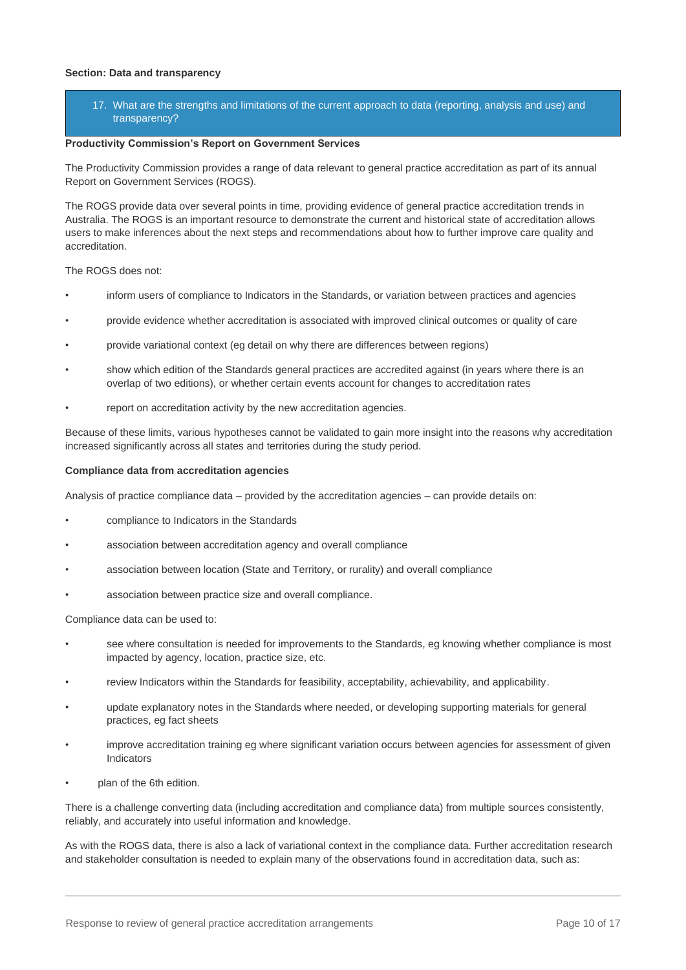#### **Section: Data and transparency**

17. What are the strengths and limitations of the current approach to data (reporting, analysis and use) and transparency?

#### **Productivity Commission's Report on Government Services**

The Productivity Commission provides a range of data relevant to general practice accreditation as part of its annual Report on Government Services (ROGS).

The ROGS provide data over several points in time, providing evidence of general practice accreditation trends in Australia. The ROGS is an important resource to demonstrate the current and historical state of accreditation allows users to make inferences about the next steps and recommendations about how to further improve care quality and accreditation.

The ROGS does not:

- inform users of compliance to Indicators in the Standards, or variation between practices and agencies
- provide evidence whether accreditation is associated with improved clinical outcomes or quality of care
- provide variational context (eg detail on why there are differences between regions)
- show which edition of the Standards general practices are accredited against (in years where there is an overlap of two editions), or whether certain events account for changes to accreditation rates
- report on accreditation activity by the new accreditation agencies.

Because of these limits, various hypotheses cannot be validated to gain more insight into the reasons why accreditation increased significantly across all states and territories during the study period.

#### **Compliance data from accreditation agencies**

Analysis of practice compliance data – provided by the accreditation agencies – can provide details on:

- compliance to Indicators in the Standards
- association between accreditation agency and overall compliance
- association between location (State and Territory, or rurality) and overall compliance
- association between practice size and overall compliance.

Compliance data can be used to:

- see where consultation is needed for improvements to the Standards, eg knowing whether compliance is most impacted by agency, location, practice size, etc.
- review Indicators within the Standards for feasibility, acceptability, achievability, and applicability.
- update explanatory notes in the Standards where needed, or developing supporting materials for general practices, eg fact sheets
- improve accreditation training eg where significant variation occurs between agencies for assessment of given Indicators
- plan of the 6th edition.

There is a challenge converting data (including accreditation and compliance data) from multiple sources consistently, reliably, and accurately into useful information and knowledge.

As with the ROGS data, there is also a lack of variational context in the compliance data. Further accreditation research and stakeholder consultation is needed to explain many of the observations found in accreditation data, such as: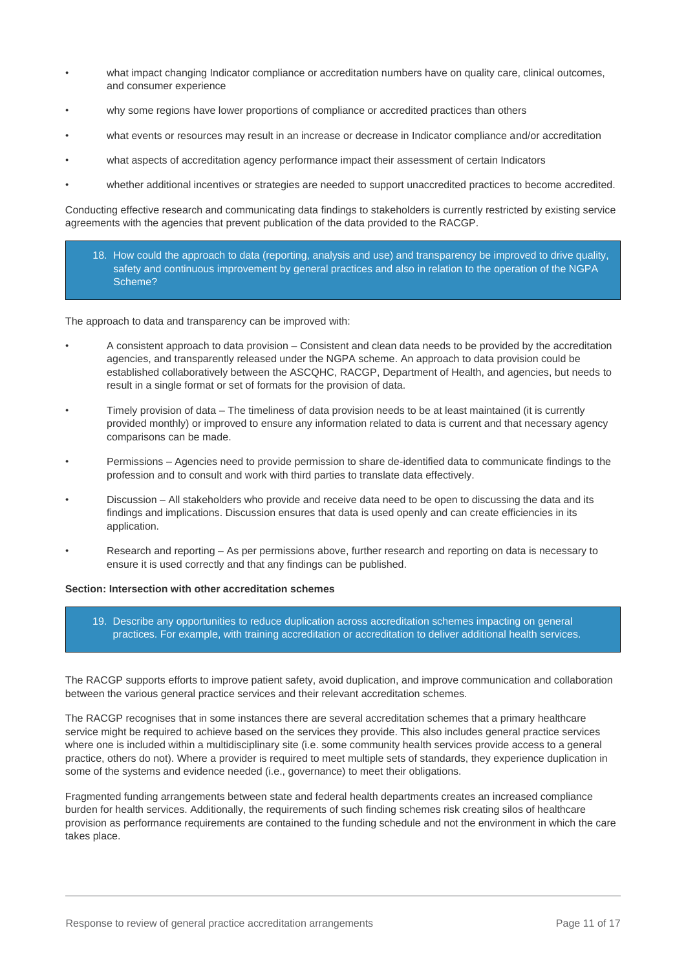- what impact changing Indicator compliance or accreditation numbers have on quality care, clinical outcomes, and consumer experience
- why some regions have lower proportions of compliance or accredited practices than others
- what events or resources may result in an increase or decrease in Indicator compliance and/or accreditation
- what aspects of accreditation agency performance impact their assessment of certain Indicators
- whether additional incentives or strategies are needed to support unaccredited practices to become accredited.

Conducting effective research and communicating data findings to stakeholders is currently restricted by existing service agreements with the agencies that prevent publication of the data provided to the RACGP.

18. How could the approach to data (reporting, analysis and use) and transparency be improved to drive quality, safety and continuous improvement by general practices and also in relation to the operation of the NGPA Scheme?

The approach to data and transparency can be improved with:

- A consistent approach to data provision Consistent and clean data needs to be provided by the accreditation agencies, and transparently released under the NGPA scheme. An approach to data provision could be established collaboratively between the ASCQHC, RACGP, Department of Health, and agencies, but needs to result in a single format or set of formats for the provision of data.
- Timely provision of data The timeliness of data provision needs to be at least maintained (it is currently provided monthly) or improved to ensure any information related to data is current and that necessary agency comparisons can be made.
- Permissions Agencies need to provide permission to share de-identified data to communicate findings to the profession and to consult and work with third parties to translate data effectively.
- Discussion All stakeholders who provide and receive data need to be open to discussing the data and its findings and implications. Discussion ensures that data is used openly and can create efficiencies in its application.
- Research and reporting As per permissions above, further research and reporting on data is necessary to ensure it is used correctly and that any findings can be published.

## **Section: Intersection with other accreditation schemes**

19. Describe any opportunities to reduce duplication across accreditation schemes impacting on general practices. For example, with training accreditation or accreditation to deliver additional health services.

The RACGP supports efforts to improve patient safety, avoid duplication, and improve communication and collaboration between the various general practice services and their relevant accreditation schemes.

The RACGP recognises that in some instances there are several accreditation schemes that a primary healthcare service might be required to achieve based on the services they provide. This also includes general practice services where one is included within a multidisciplinary site (i.e. some community health services provide access to a general practice, others do not). Where a provider is required to meet multiple sets of standards, they experience duplication in some of the systems and evidence needed (i.e., governance) to meet their obligations.

Fragmented funding arrangements between state and federal health departments creates an increased compliance burden for health services. Additionally, the requirements of such finding schemes risk creating silos of healthcare provision as performance requirements are contained to the funding schedule and not the environment in which the care takes place.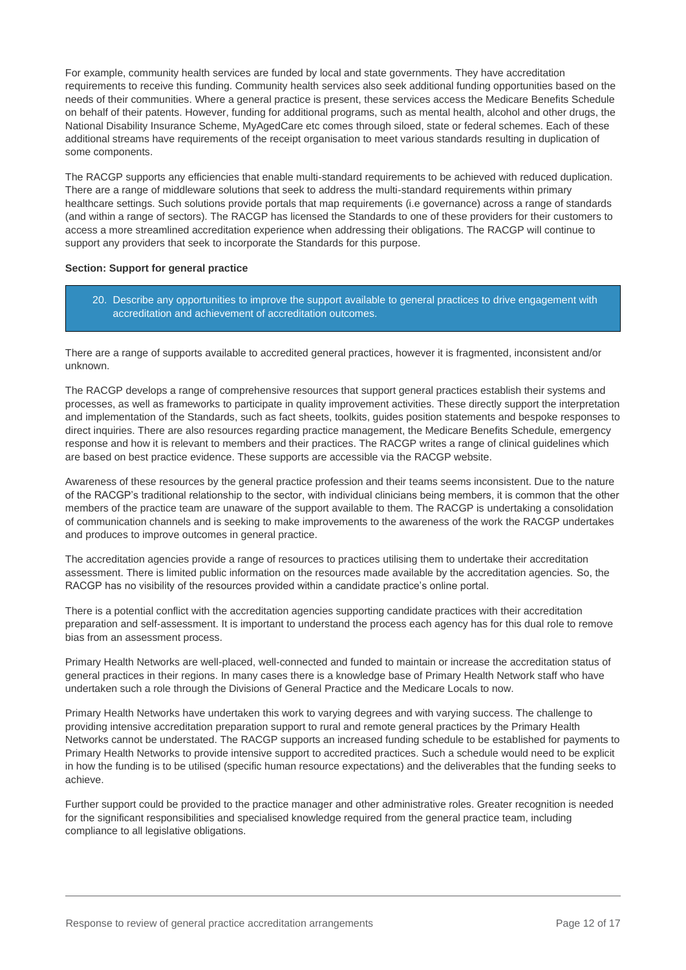For example, community health services are funded by local and state governments. They have accreditation requirements to receive this funding. Community health services also seek additional funding opportunities based on the needs of their communities. Where a general practice is present, these services access the Medicare Benefits Schedule on behalf of their patents. However, funding for additional programs, such as mental health, alcohol and other drugs, the National Disability Insurance Scheme, MyAgedCare etc comes through siloed, state or federal schemes. Each of these additional streams have requirements of the receipt organisation to meet various standards resulting in duplication of some components.

The RACGP supports any efficiencies that enable multi-standard requirements to be achieved with reduced duplication. There are a range of middleware solutions that seek to address the multi-standard requirements within primary healthcare settings. Such solutions provide portals that map requirements (i.e governance) across a range of standards (and within a range of sectors). The RACGP has licensed the Standards to one of these providers for their customers to access a more streamlined accreditation experience when addressing their obligations. The RACGP will continue to support any providers that seek to incorporate the Standards for this purpose.

## **Section: Support for general practice**

20. Describe any opportunities to improve the support available to general practices to drive engagement with accreditation and achievement of accreditation outcomes.

There are a range of supports available to accredited general practices, however it is fragmented, inconsistent and/or unknown.

The RACGP develops a range of comprehensive resources that support general practices establish their systems and processes, as well as frameworks to participate in quality improvement activities. These directly support the interpretation and implementation of the Standards, such as fact sheets, toolkits, guides position statements and bespoke responses to direct inquiries. There are also resources regarding practice management, the Medicare Benefits Schedule, emergency response and how it is relevant to members and their practices. The RACGP writes a range of clinical guidelines which are based on best practice evidence. These supports are accessible via the RACGP website.

Awareness of these resources by the general practice profession and their teams seems inconsistent. Due to the nature of the RACGP's traditional relationship to the sector, with individual clinicians being members, it is common that the other members of the practice team are unaware of the support available to them. The RACGP is undertaking a consolidation of communication channels and is seeking to make improvements to the awareness of the work the RACGP undertakes and produces to improve outcomes in general practice.

The accreditation agencies provide a range of resources to practices utilising them to undertake their accreditation assessment. There is limited public information on the resources made available by the accreditation agencies. So, the RACGP has no visibility of the resources provided within a candidate practice's online portal.

There is a potential conflict with the accreditation agencies supporting candidate practices with their accreditation preparation and self-assessment. It is important to understand the process each agency has for this dual role to remove bias from an assessment process.

Primary Health Networks are well-placed, well-connected and funded to maintain or increase the accreditation status of general practices in their regions. In many cases there is a knowledge base of Primary Health Network staff who have undertaken such a role through the Divisions of General Practice and the Medicare Locals to now.

Primary Health Networks have undertaken this work to varying degrees and with varying success. The challenge to providing intensive accreditation preparation support to rural and remote general practices by the Primary Health Networks cannot be understated. The RACGP supports an increased funding schedule to be established for payments to Primary Health Networks to provide intensive support to accredited practices. Such a schedule would need to be explicit in how the funding is to be utilised (specific human resource expectations) and the deliverables that the funding seeks to achieve.

Further support could be provided to the practice manager and other administrative roles. Greater recognition is needed for the significant responsibilities and specialised knowledge required from the general practice team, including compliance to all legislative obligations.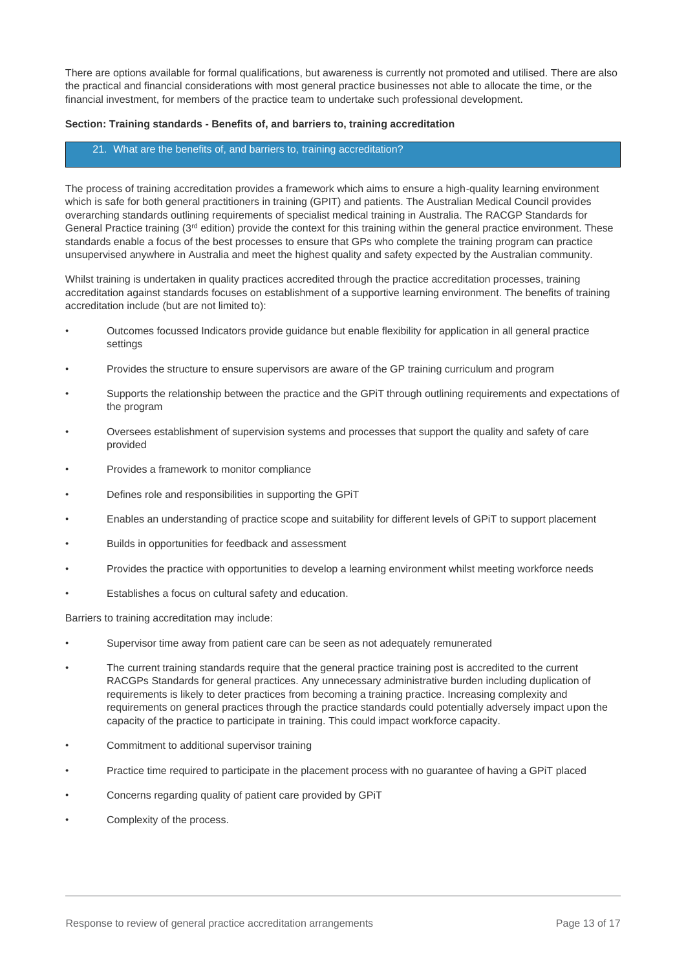There are options available for formal qualifications, but awareness is currently not promoted and utilised. There are also the practical and financial considerations with most general practice businesses not able to allocate the time, or the financial investment, for members of the practice team to undertake such professional development.

#### **Section: Training standards - Benefits of, and barriers to, training accreditation**

#### 21. What are the benefits of, and barriers to, training accreditation?

The process of training accreditation provides a framework which aims to ensure a high-quality learning environment which is safe for both general practitioners in training (GPIT) and patients. The Australian Medical Council provides overarching standards outlining requirements of specialist medical training in Australia. The RACGP Standards for General Practice training  $(3<sup>rd</sup>$  edition) provide the context for this training within the general practice environment. These standards enable a focus of the best processes to ensure that GPs who complete the training program can practice unsupervised anywhere in Australia and meet the highest quality and safety expected by the Australian community.

Whilst training is undertaken in quality practices accredited through the practice accreditation processes, training accreditation against standards focuses on establishment of a supportive learning environment. The benefits of training accreditation include (but are not limited to):

- Outcomes focussed Indicators provide guidance but enable flexibility for application in all general practice settings
- Provides the structure to ensure supervisors are aware of the GP training curriculum and program
- Supports the relationship between the practice and the GPiT through outlining requirements and expectations of the program
- Oversees establishment of supervision systems and processes that support the quality and safety of care provided
- Provides a framework to monitor compliance
- Defines role and responsibilities in supporting the GPiT
- Enables an understanding of practice scope and suitability for different levels of GPiT to support placement
- Builds in opportunities for feedback and assessment
- Provides the practice with opportunities to develop a learning environment whilst meeting workforce needs
- Establishes a focus on cultural safety and education.

Barriers to training accreditation may include:

- Supervisor time away from patient care can be seen as not adequately remunerated
- The current training standards require that the general practice training post is accredited to the current RACGPs Standards for general practices. Any unnecessary administrative burden including duplication of requirements is likely to deter practices from becoming a training practice. Increasing complexity and requirements on general practices through the practice standards could potentially adversely impact upon the capacity of the practice to participate in training. This could impact workforce capacity.
- Commitment to additional supervisor training
- Practice time required to participate in the placement process with no guarantee of having a GPiT placed
- Concerns regarding quality of patient care provided by GPiT
- Complexity of the process.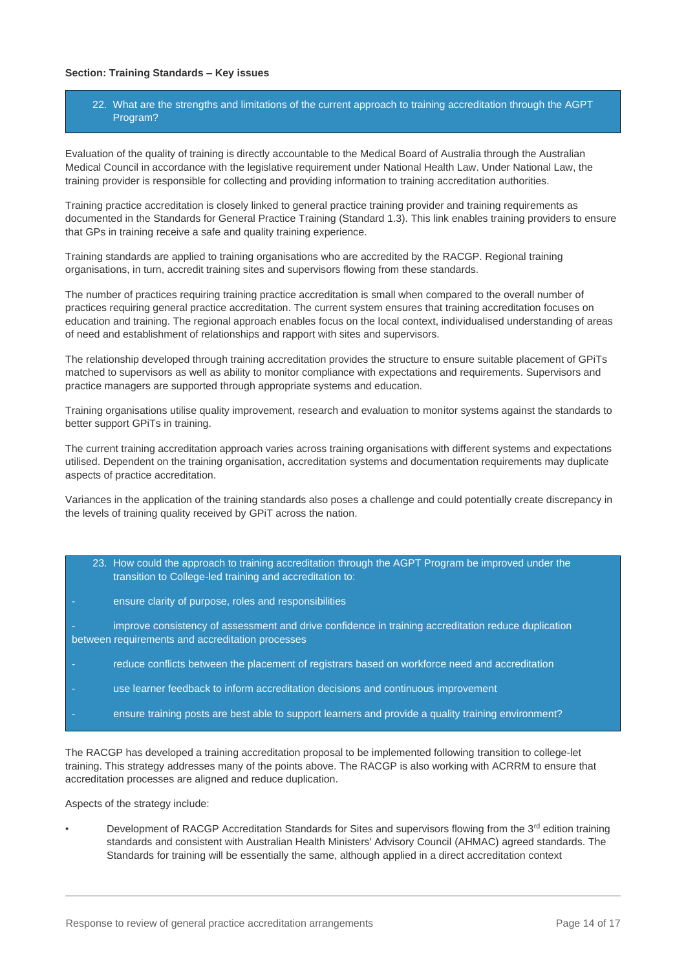## **Section: Training Standards – Key issues**

## 22. What are the strengths and limitations of the current approach to training accreditation through the AGPT Program?

Evaluation of the quality of training is directly accountable to the Medical Board of Australia through the Australian Medical Council in accordance with the legislative requirement under National Health Law. Under National Law, the training provider is responsible for collecting and providing information to training accreditation authorities.

Training practice accreditation is closely linked to general practice training provider and training requirements as documented in the Standards for General Practice Training (Standard 1.3). This link enables training providers to ensure that GPs in training receive a safe and quality training experience.

Training standards are applied to training organisations who are accredited by the RACGP. Regional training organisations, in turn, accredit training sites and supervisors flowing from these standards.

The number of practices requiring training practice accreditation is small when compared to the overall number of practices requiring general practice accreditation. The current system ensures that training accreditation focuses on education and training. The regional approach enables focus on the local context, individualised understanding of areas of need and establishment of relationships and rapport with sites and supervisors.

The relationship developed through training accreditation provides the structure to ensure suitable placement of GPiTs matched to supervisors as well as ability to monitor compliance with expectations and requirements. Supervisors and practice managers are supported through appropriate systems and education.

Training organisations utilise quality improvement, research and evaluation to monitor systems against the standards to better support GPiTs in training.

The current training accreditation approach varies across training organisations with different systems and expectations utilised. Dependent on the training organisation, accreditation systems and documentation requirements may duplicate aspects of practice accreditation.

Variances in the application of the training standards also poses a challenge and could potentially create discrepancy in the levels of training quality received by GPiT across the nation.

- 23. How could the approach to training accreditation through the AGPT Program be improved under the transition to College-led training and accreditation to:
- ensure clarity of purpose, roles and responsibilities

improve consistency of assessment and drive confidence in training accreditation reduce duplication between requirements and accreditation processes

- reduce conflicts between the placement of registrars based on workforce need and accreditation
- use learner feedback to inform accreditation decisions and continuous improvement
- ensure training posts are best able to support learners and provide a quality training environment?

The RACGP has developed a training accreditation proposal to be implemented following transition to college-let training. This strategy addresses many of the points above. The RACGP is also working with ACRRM to ensure that accreditation processes are aligned and reduce duplication.

Aspects of the strategy include:

Development of RACGP Accreditation Standards for Sites and supervisors flowing from the 3<sup>rd</sup> edition training standards and consistent with Australian Health Ministers' Advisory Council (AHMAC) agreed standards. The Standards for training will be essentially the same, although applied in a direct accreditation context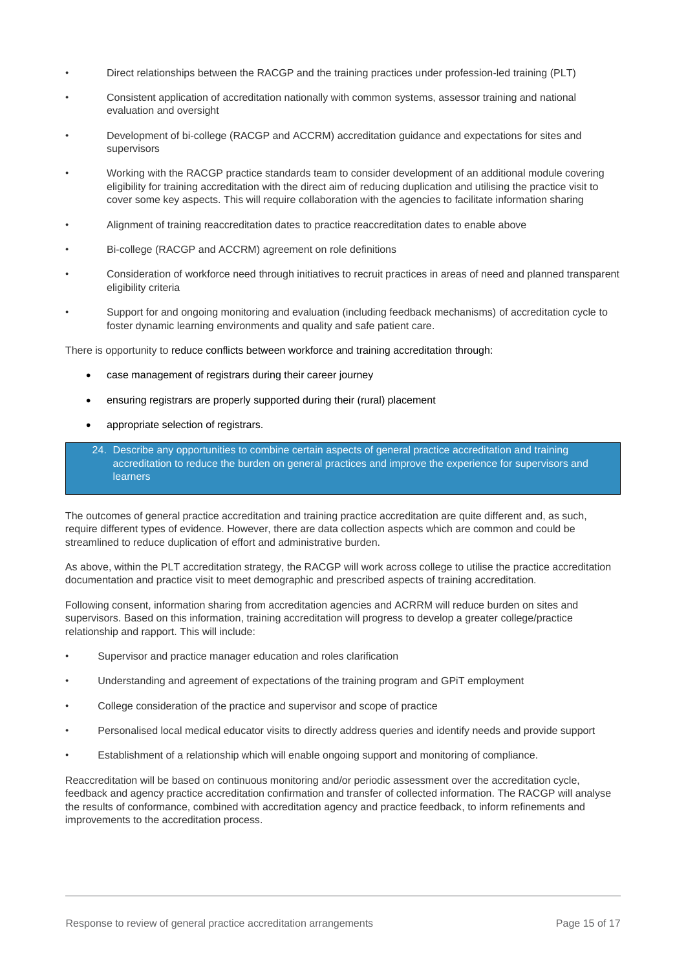- Direct relationships between the RACGP and the training practices under profession-led training (PLT)
- Consistent application of accreditation nationally with common systems, assessor training and national evaluation and oversight
- Development of bi-college (RACGP and ACCRM) accreditation guidance and expectations for sites and supervisors
- Working with the RACGP practice standards team to consider development of an additional module covering eligibility for training accreditation with the direct aim of reducing duplication and utilising the practice visit to cover some key aspects. This will require collaboration with the agencies to facilitate information sharing
- Alignment of training reaccreditation dates to practice reaccreditation dates to enable above
- Bi-college (RACGP and ACCRM) agreement on role definitions
- Consideration of workforce need through initiatives to recruit practices in areas of need and planned transparent eligibility criteria
- Support for and ongoing monitoring and evaluation (including feedback mechanisms) of accreditation cycle to foster dynamic learning environments and quality and safe patient care.

There is opportunity to reduce conflicts between workforce and training accreditation through:

- case management of registrars during their career journey
- ensuring registrars are properly supported during their (rural) placement
- appropriate selection of registrars.
- 24. Describe any opportunities to combine certain aspects of general practice accreditation and training accreditation to reduce the burden on general practices and improve the experience for supervisors and learners

The outcomes of general practice accreditation and training practice accreditation are quite different and, as such, require different types of evidence. However, there are data collection aspects which are common and could be streamlined to reduce duplication of effort and administrative burden.

As above, within the PLT accreditation strategy, the RACGP will work across college to utilise the practice accreditation documentation and practice visit to meet demographic and prescribed aspects of training accreditation.

Following consent, information sharing from accreditation agencies and ACRRM will reduce burden on sites and supervisors. Based on this information, training accreditation will progress to develop a greater college/practice relationship and rapport. This will include:

- Supervisor and practice manager education and roles clarification
- Understanding and agreement of expectations of the training program and GPiT employment
- College consideration of the practice and supervisor and scope of practice
- Personalised local medical educator visits to directly address queries and identify needs and provide support
- Establishment of a relationship which will enable ongoing support and monitoring of compliance.

Reaccreditation will be based on continuous monitoring and/or periodic assessment over the accreditation cycle, feedback and agency practice accreditation confirmation and transfer of collected information. The RACGP will analyse the results of conformance, combined with accreditation agency and practice feedback, to inform refinements and improvements to the accreditation process.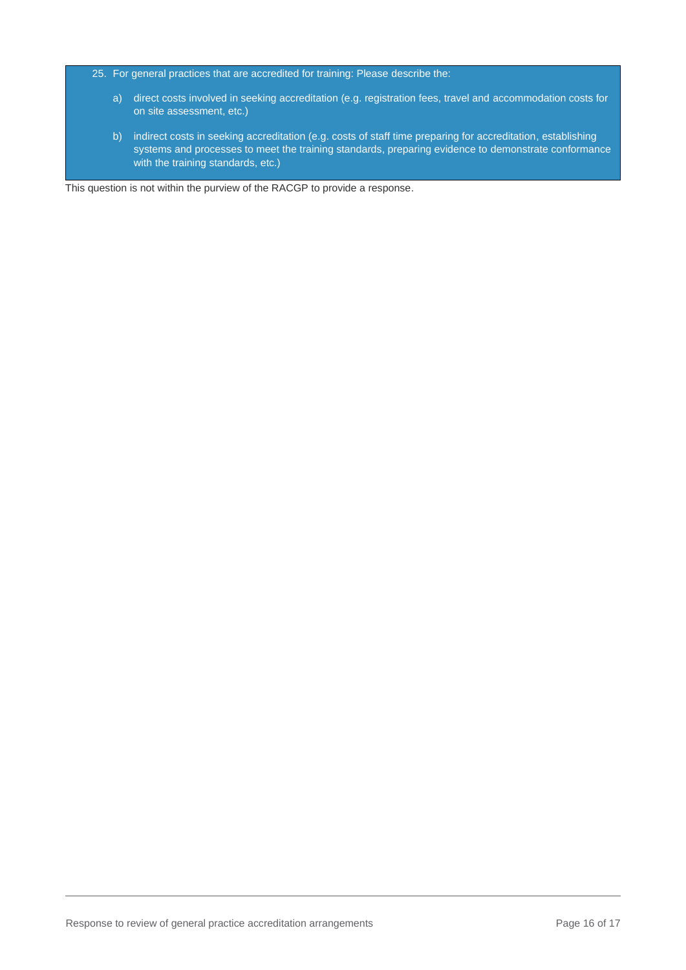- 25. For general practices that are accredited for training: Please describe the:
	- a) direct costs involved in seeking accreditation (e.g. registration fees, travel and accommodation costs for on site assessment, etc.)
	- b) indirect costs in seeking accreditation (e.g. costs of staff time preparing for accreditation, establishing systems and processes to meet the training standards, preparing evidence to demonstrate conformance with the training standards, etc.)

This question is not within the purview of the RACGP to provide a response.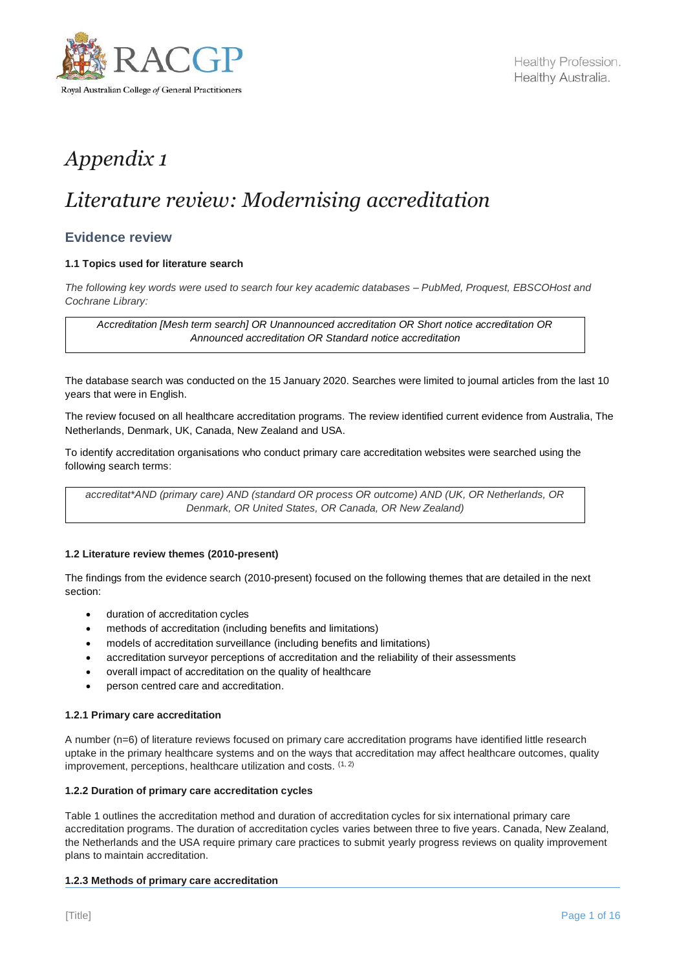

# *Appendix 1*

# *Literature review: Modernising accreditation*

## **Evidence review**

## **1.1 Topics used for literature search**

*The following key words were used to search four key academic databases – PubMed, Proquest, EBSCOHost and Cochrane Library:*

*Accreditation [Mesh term search] OR Unannounced accreditation OR Short notice accreditation OR Announced accreditation OR Standard notice accreditation*

The database search was conducted on the 15 January 2020. Searches were limited to journal articles from the last 10 years that were in English.

The review focused on all healthcare accreditation programs. The review identified current evidence from Australia, The Netherlands, Denmark, UK, Canada, New Zealand and USA.

To identify accreditation organisations who conduct primary care accreditation websites were searched using the following search terms:

*accreditat\*AND (primary care) AND (standard OR process OR outcome) AND (UK, OR Netherlands, OR Denmark, OR United States, OR Canada, OR New Zealand)*

#### **1.2 Literature review themes (2010-present)**

The findings from the evidence search (2010-present) focused on the following themes that are detailed in the next section:

- duration of accreditation cycles
- methods of accreditation (including benefits and limitations)
- models of accreditation surveillance (including benefits and limitations)
- accreditation surveyor perceptions of accreditation and the reliability of their assessments
- overall impact of accreditation on the quality of healthcare
- person centred care and accreditation.

#### **1.2.1 Primary care accreditation**

A number (n=6) of literature reviews focused on primary care accreditation programs have identified little research uptake in the primary healthcare systems and on the ways that accreditation may affect healthcare outcomes, quality improvement, perceptions, healthcare utilization and costs. (1, 2)

#### **1.2.2 Duration of primary care accreditation cycles**

Table 1 outlines the accreditation method and duration of accreditation cycles for six international primary care accreditation programs. The duration of accreditation cycles varies between three to five years. Canada, New Zealand, the Netherlands and the USA require primary care practices to submit yearly progress reviews on quality improvement plans to maintain accreditation.

#### **1.2.3 Methods of primary care accreditation**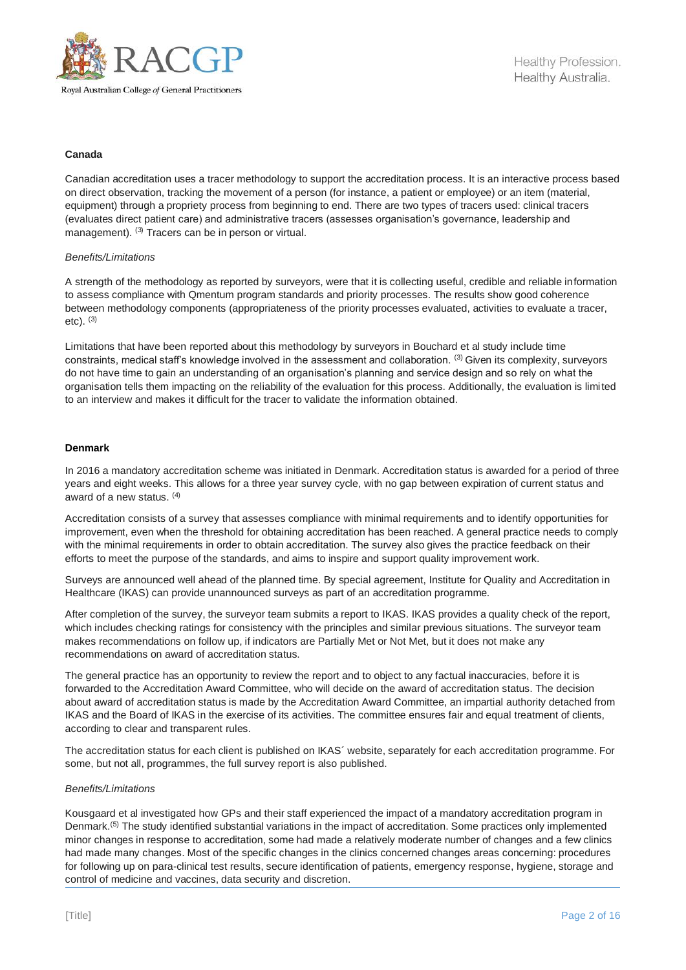

## **Canada**

Canadian accreditation uses a tracer methodology to support the accreditation process. It is an interactive process based on direct observation, tracking the movement of a person (for instance, a patient or employee) or an item (material, equipment) through a propriety process from beginning to end. There are two types of tracers used: clinical tracers (evaluates direct patient care) and administrative tracers (assesses organisation's governance, leadership and management). <sup>(3)</sup> Tracers can be in person or virtual.

### *Benefits/Limitations*

A strength of the methodology as reported by surveyors, were that it is collecting useful, credible and reliable information to assess compliance with Qmentum program standards and priority processes. The results show good coherence between methodology components (appropriateness of the priority processes evaluated, activities to evaluate a tracer, etc). (3)

Limitations that have been reported about this methodology by surveyors in Bouchard et al study include time constraints, medical staff's knowledge involved in the assessment and collaboration. (3) Given its complexity, surveyors do not have time to gain an understanding of an organisation's planning and service design and so rely on what the organisation tells them impacting on the reliability of the evaluation for this process. Additionally, the evaluation is limited to an interview and makes it difficult for the tracer to validate the information obtained.

## **Denmark**

In 2016 a mandatory accreditation scheme was initiated in Denmark. Accreditation status is awarded for a period of three years and eight weeks. This allows for a three year survey cycle, with no gap between expiration of current status and award of a new status. (4)

Accreditation consists of a survey that assesses compliance with minimal requirements and to identify opportunities for improvement, even when the threshold for obtaining accreditation has been reached. A general practice needs to comply with the minimal requirements in order to obtain accreditation. The survey also gives the practice feedback on their efforts to meet the purpose of the standards, and aims to inspire and support quality improvement work.

Surveys are announced well ahead of the planned time. By special agreement, Institute for Quality and Accreditation in Healthcare (IKAS) can provide unannounced surveys as part of an accreditation programme.

After completion of the survey, the surveyor team submits a report to IKAS. IKAS provides a quality check of the report, which includes checking ratings for consistency with the principles and similar previous situations. The surveyor team makes recommendations on follow up, if indicators are Partially Met or Not Met, but it does not make any recommendations on award of accreditation status.

The general practice has an opportunity to review the report and to object to any factual inaccuracies, before it is forwarded to the Accreditation Award Committee, who will decide on the award of accreditation status. The decision about award of accreditation status is made by the Accreditation Award Committee, an impartial authority detached from IKAS and the Board of IKAS in the exercise of its activities. The committee ensures fair and equal treatment of clients, according to clear and transparent rules.

The accreditation status for each client is published on IKAS´ website, separately for each accreditation programme. For some, but not all, programmes, the full survey report is also published.

#### *Benefits/Limitations*

Kousgaard et al investigated how GPs and their staff experienced the impact of a mandatory accreditation program in Denmark.(5) The study identified substantial variations in the impact of accreditation. Some practices only implemented minor changes in response to accreditation, some had made a relatively moderate number of changes and a few clinics had made many changes. Most of the specific changes in the clinics concerned changes areas concerning: procedures for following up on para-clinical test results, secure identification of patients, emergency response, hygiene, storage and control of medicine and vaccines, data security and discretion.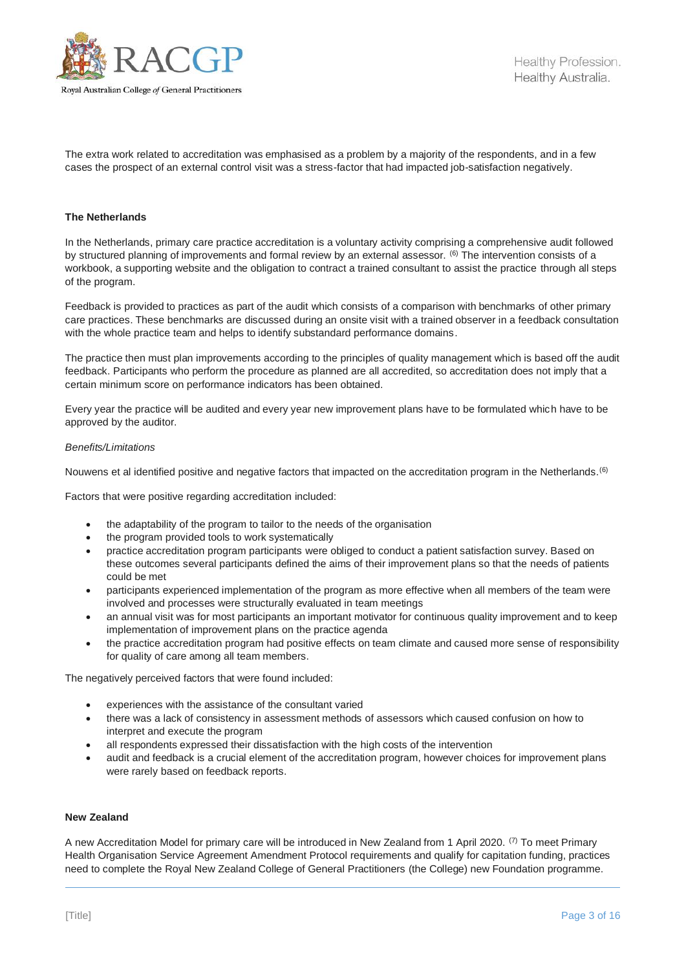

The extra work related to accreditation was emphasised as a problem by a majority of the respondents, and in a few cases the prospect of an external control visit was a stress-factor that had impacted job-satisfaction negatively.

#### **The Netherlands**

In the Netherlands, primary care practice accreditation is a voluntary activity comprising a comprehensive audit followed by structured planning of improvements and formal review by an external assessor. (6) The intervention consists of a workbook, a supporting website and the obligation to contract a trained consultant to assist the practice through all steps of the program.

Feedback is provided to practices as part of the audit which consists of a comparison with benchmarks of other primary care practices. These benchmarks are discussed during an onsite visit with a trained observer in a feedback consultation with the whole practice team and helps to identify substandard performance domains.

The practice then must plan improvements according to the principles of quality management which is based off the audit feedback. Participants who perform the procedure as planned are all accredited, so accreditation does not imply that a certain minimum score on performance indicators has been obtained.

Every year the practice will be audited and every year new improvement plans have to be formulated which have to be approved by the auditor.

#### *Benefits/Limitations*

Nouwens et al identified positive and negative factors that impacted on the accreditation program in the Netherlands.<sup>(6)</sup>

Factors that were positive regarding accreditation included:

- the adaptability of the program to tailor to the needs of the organisation
- the program provided tools to work systematically
- practice accreditation program participants were obliged to conduct a patient satisfaction survey. Based on these outcomes several participants defined the aims of their improvement plans so that the needs of patients could be met
- participants experienced implementation of the program as more effective when all members of the team were involved and processes were structurally evaluated in team meetings
- an annual visit was for most participants an important motivator for continuous quality improvement and to keep implementation of improvement plans on the practice agenda
- the practice accreditation program had positive effects on team climate and caused more sense of responsibility for quality of care among all team members.

The negatively perceived factors that were found included:

- experiences with the assistance of the consultant varied
- there was a lack of consistency in assessment methods of assessors which caused confusion on how to interpret and execute the program
- all respondents expressed their dissatisfaction with the high costs of the intervention
- audit and feedback is a crucial element of the accreditation program, however choices for improvement plans were rarely based on feedback reports.

#### **New Zealand**

A new Accreditation Model for primary care will be introduced in New Zealand from 1 April 2020. <sup>(7)</sup> To meet Primary Health Organisation Service Agreement Amendment Protocol requirements and qualify for capitation funding, practices need to complete the Royal New Zealand College of General Practitioners (the College) new Foundation programme.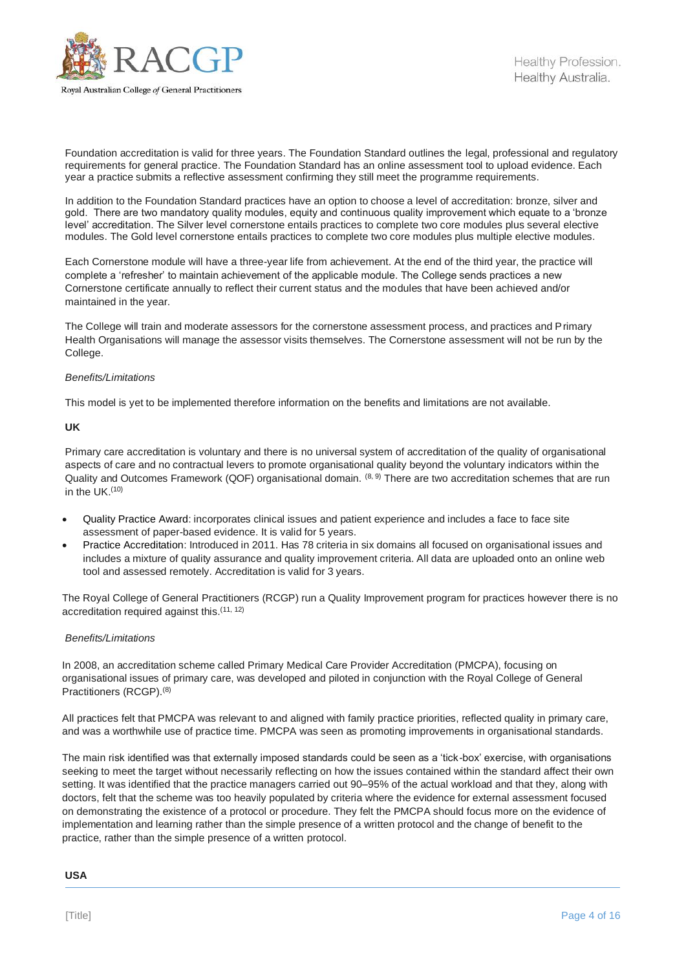

Foundation accreditation is valid for three years. The Foundation Standard outlines the legal, professional and regulatory requirements for general practice. The Foundation Standard has an online assessment tool to upload evidence. Each year a practice submits a reflective assessment confirming they still meet the programme requirements.

In addition to the Foundation Standard practices have an option to choose a level of accreditation: bronze, silver and gold. There are two mandatory quality modules, equity and continuous quality improvement which equate to a 'bronze level' accreditation. The Silver level cornerstone entails practices to complete two core modules plus several elective modules. The Gold level cornerstone entails practices to complete two core modules plus multiple elective modules.

Each Cornerstone module will have a three-year life from achievement. At the end of the third year, the practice will complete a 'refresher' to maintain achievement of the applicable module. The College sends practices a new Cornerstone certificate annually to reflect their current status and the modules that have been achieved and/or maintained in the year.

The College will train and moderate assessors for the cornerstone assessment process, and practices and Primary Health Organisations will manage the assessor visits themselves. The Cornerstone assessment will not be run by the College.

## *Benefits/Limitations*

This model is yet to be implemented therefore information on the benefits and limitations are not available.

## **UK**

Primary care accreditation is voluntary and there is no universal system of accreditation of the quality of organisational aspects of care and no contractual levers to promote organisational quality beyond the voluntary indicators within the Quality and Outcomes Framework (QOF) organisational domain. (8, 9) There are two accreditation schemes that are run in the UK.<sup>(10)</sup>

- Quality Practice Award: incorporates clinical issues and patient experience and includes a face to face site assessment of paper-based evidence. It is valid for 5 years.
- Practice Accreditation: Introduced in 2011. Has 78 criteria in six domains all focused on organisational issues and includes a mixture of quality assurance and quality improvement criteria. All data are uploaded onto an online web tool and assessed remotely. Accreditation is valid for 3 years.

The Royal College of General Practitioners (RCGP) run a Quality Improvement program for practices however there is no accreditation required against this.<sup>(11, 12)</sup>

#### *Benefits/Limitations*

In 2008, an accreditation scheme called Primary Medical Care Provider Accreditation (PMCPA), focusing on organisational issues of primary care, was developed and piloted in conjunction with the Royal College of General Practitioners (RCGP).(8)

All practices felt that PMCPA was relevant to and aligned with family practice priorities, reflected quality in primary care, and was a worthwhile use of practice time. PMCPA was seen as promoting improvements in organisational standards.

The main risk identified was that externally imposed standards could be seen as a 'tick-box' exercise, with organisations seeking to meet the target without necessarily reflecting on how the issues contained within the standard affect their own setting. It was identified that the practice managers carried out 90–95% of the actual workload and that they, along with doctors, felt that the scheme was too heavily populated by criteria where the evidence for external assessment focused on demonstrating the existence of a protocol or procedure. They felt the PMCPA should focus more on the evidence of implementation and learning rather than the simple presence of a written protocol and the change of benefit to the practice, rather than the simple presence of a written protocol.

#### **USA**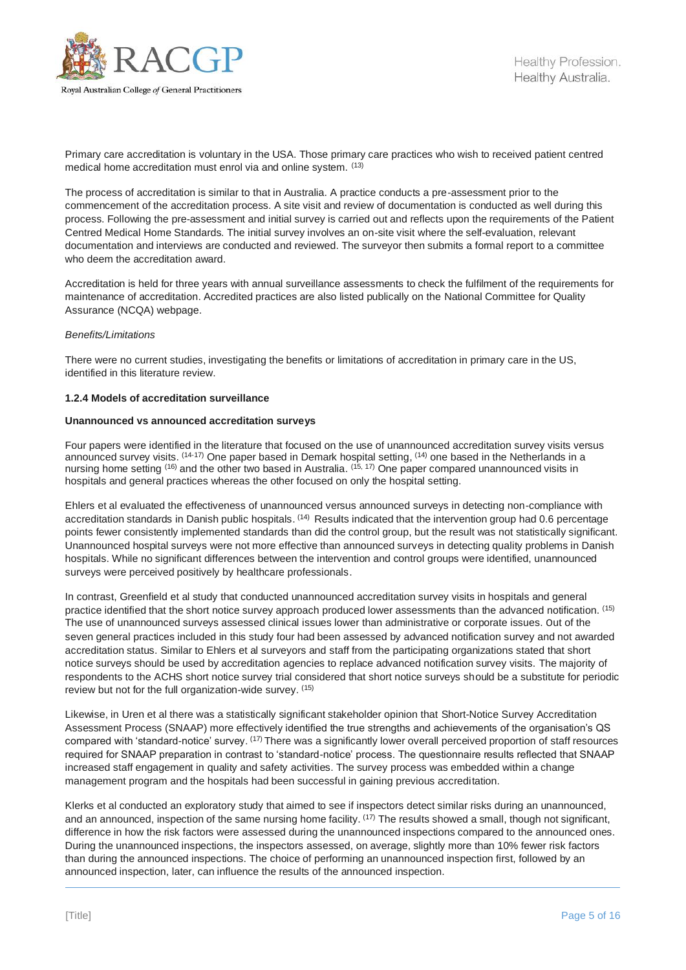

Primary care accreditation is voluntary in the USA. Those primary care practices who wish to received patient centred medical home accreditation must enrol via and online system. (13)

The process of accreditation is similar to that in Australia. A practice conducts a pre-assessment prior to the commencement of the accreditation process. A site visit and review of documentation is conducted as well during this process. Following the pre-assessment and initial survey is carried out and reflects upon the requirements of the Patient Centred Medical Home Standards. The initial survey involves an on-site visit where the self-evaluation, relevant documentation and interviews are conducted and reviewed. The surveyor then submits a formal report to a committee who deem the accreditation award.

Accreditation is held for three years with annual surveillance assessments to check the fulfilment of the requirements for maintenance of accreditation. Accredited practices are also listed publically on the National Committee for Quality Assurance (NCQA) webpage.

## *Benefits/Limitations*

There were no current studies, investigating the benefits or limitations of accreditation in primary care in the US, identified in this literature review.

## **1.2.4 Models of accreditation surveillance**

## **Unannounced vs announced accreditation surveys**

Four papers were identified in the literature that focused on the use of unannounced accreditation survey visits versus announced survey visits. <sup>(14-17)</sup> One paper based in Demark hospital setting, <sup>(14)</sup> one based in the Netherlands in a nursing home setting <sup>(16)</sup> and the other two based in Australia. <sup>(15, 17)</sup> One paper compared unannounced visits in hospitals and general practices whereas the other focused on only the hospital setting.

Ehlers et al evaluated the effectiveness of unannounced versus announced surveys in detecting non-compliance with accreditation standards in Danish public hospitals. <sup>(14)</sup> Results indicated that the intervention group had 0.6 percentage points fewer consistently implemented standards than did the control group, but the result was not statistically significant. Unannounced hospital surveys were not more effective than announced surveys in detecting quality problems in Danish hospitals. While no significant differences between the intervention and control groups were identified, unannounced surveys were perceived positively by healthcare professionals.

In contrast, Greenfield et al study that conducted unannounced accreditation survey visits in hospitals and general practice identified that the short notice survey approach produced lower assessments than the advanced notification. (15) The use of unannounced surveys assessed clinical issues lower than administrative or corporate issues. Out of the seven general practices included in this study four had been assessed by advanced notification survey and not awarded accreditation status. Similar to Ehlers et al surveyors and staff from the participating organizations stated that short notice surveys should be used by accreditation agencies to replace advanced notification survey visits. The majority of respondents to the ACHS short notice survey trial considered that short notice surveys should be a substitute for periodic review but not for the full organization-wide survey. (15)

Likewise, in Uren et al there was a statistically significant stakeholder opinion that Short-Notice Survey Accreditation Assessment Process (SNAAP) more effectively identified the true strengths and achievements of the organisation's QS compared with 'standard-notice' survey. (17) There was a significantly lower overall perceived proportion of staff resources required for SNAAP preparation in contrast to 'standard-notice' process. The questionnaire results reflected that SNAAP increased staff engagement in quality and safety activities. The survey process was embedded within a change management program and the hospitals had been successful in gaining previous accreditation.

Klerks et al conducted an exploratory study that aimed to see if inspectors detect similar risks during an unannounced, and an announced, inspection of the same nursing home facility.  $(17)$  The results showed a small, though not significant, difference in how the risk factors were assessed during the unannounced inspections compared to the announced ones. During the unannounced inspections, the inspectors assessed, on average, slightly more than 10% fewer risk factors than during the announced inspections. The choice of performing an unannounced inspection first, followed by an announced inspection, later, can influence the results of the announced inspection.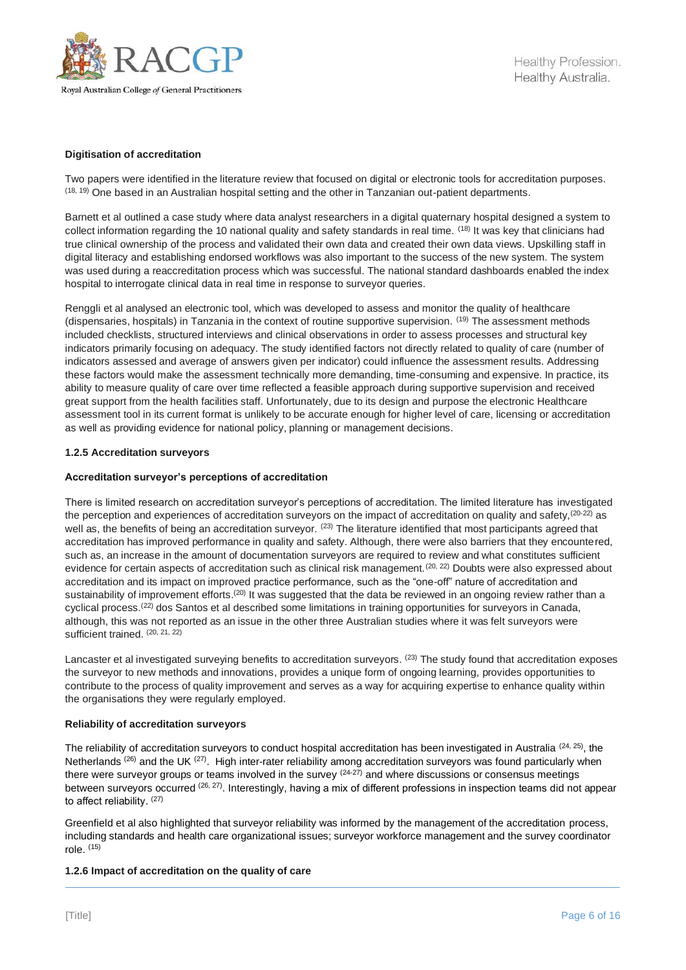

## **Digitisation of accreditation**

Two papers were identified in the literature review that focused on digital or electronic tools for accreditation purposes. (18, 19) One based in an Australian hospital setting and the other in Tanzanian out-patient departments.

Barnett et al outlined a case study where data analyst researchers in a digital quaternary hospital designed a system to collect information regarding the 10 national quality and safety standards in real time. <sup>(18)</sup> It was key that clinicians had true clinical ownership of the process and validated their own data and created their own data views. Upskilling staff in digital literacy and establishing endorsed workflows was also important to the success of the new system. The system was used during a reaccreditation process which was successful. The national standard dashboards enabled the index hospital to interrogate clinical data in real time in response to surveyor queries.

Renggli et al analysed an electronic tool, which was developed to assess and monitor the quality of healthcare (dispensaries, hospitals) in Tanzania in the context of routine supportive supervision. (19) The assessment methods included checklists, structured interviews and clinical observations in order to assess processes and structural key indicators primarily focusing on adequacy. The study identified factors not directly related to quality of care (number of indicators assessed and average of answers given per indicator) could influence the assessment results. Addressing these factors would make the assessment technically more demanding, time-consuming and expensive. In practice, its ability to measure quality of care over time reflected a feasible approach during supportive supervision and received great support from the health facilities staff. Unfortunately, due to its design and purpose the electronic Healthcare assessment tool in its current format is unlikely to be accurate enough for higher level of care, licensing or accreditation as well as providing evidence for national policy, planning or management decisions.

#### **1.2.5 Accreditation surveyors**

#### **Accreditation surveyor's perceptions of accreditation**

There is limited research on accreditation surveyor's perceptions of accreditation. The limited literature has investigated the perception and experiences of accreditation surveyors on the impact of accreditation on quality and safety, (20-22) as well as, the benefits of being an accreditation surveyor. <sup>(23)</sup> The literature identified that most participants agreed that accreditation has improved performance in quality and safety. Although, there were also barriers that they encountered, such as, an increase in the amount of documentation surveyors are required to review and what constitutes sufficient evidence for certain aspects of accreditation such as clinical risk management.<sup>(20, 22)</sup> Doubts were also expressed about accreditation and its impact on improved practice performance, such as the "one-off" nature of accreditation and sustainability of improvement efforts.<sup>(20)</sup> It was suggested that the data be reviewed in an ongoing review rather than a cyclical process.(22) dos Santos et al described some limitations in training opportunities for surveyors in Canada, although, this was not reported as an issue in the other three Australian studies where it was felt surveyors were sufficient trained. (20, 21, 22)

Lancaster et al investigated surveying benefits to accreditation surveyors. <sup>(23)</sup> The study found that accreditation exposes the surveyor to new methods and innovations, provides a unique form of ongoing learning, provides opportunities to contribute to the process of quality improvement and serves as a way for acquiring expertise to enhance quality within the organisations they were regularly employed.

#### **Reliability of accreditation surveyors**

The reliability of accreditation surveyors to conduct hospital accreditation has been investigated in Australia  $(24, 25)$ , the Netherlands <sup>(26)</sup> and the UK <sup>(27)</sup>. High inter-rater reliability among accreditation surveyors was found particularly when there were surveyor groups or teams involved in the survey (24-27) and where discussions or consensus meetings between surveyors occurred (26, 27). Interestingly, having a mix of different professions in inspection teams did not appear to affect reliability. (27)

Greenfield et al also highlighted that surveyor reliability was informed by the management of the accreditation process, including standards and health care organizational issues; surveyor workforce management and the survey coordinator role. (15)

#### **1.2.6 Impact of accreditation on the quality of care**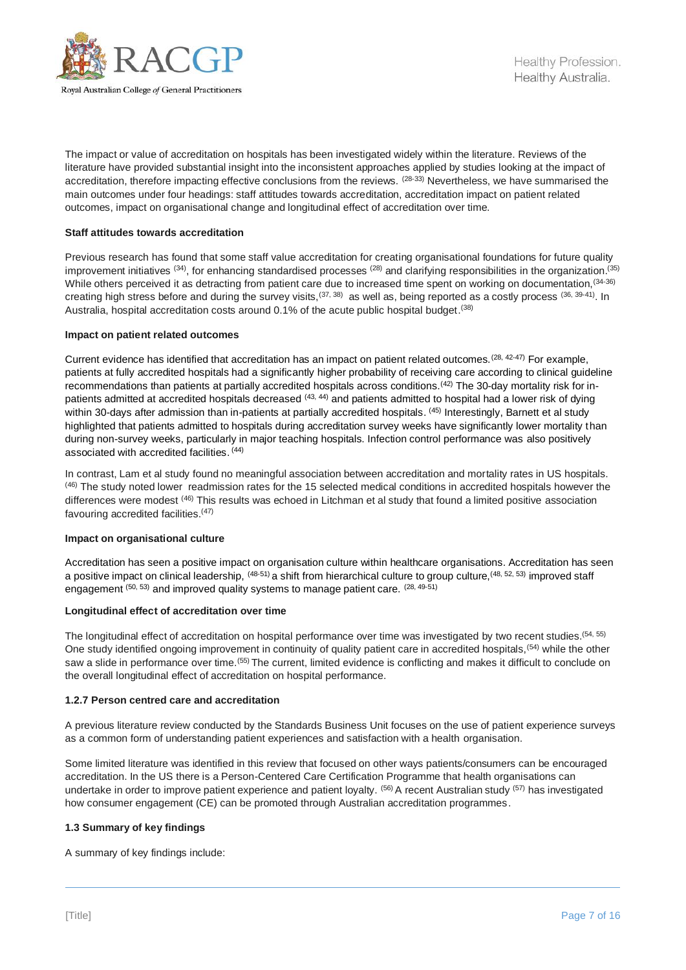

The impact or value of accreditation on hospitals has been investigated widely within the literature. Reviews of the literature have provided substantial insight into the inconsistent approaches applied by studies looking at the impact of accreditation, therefore impacting effective conclusions from the reviews. (28-33) Nevertheless, we have summarised the main outcomes under four headings: staff attitudes towards accreditation, accreditation impact on patient related outcomes, impact on organisational change and longitudinal effect of accreditation over time.

## **Staff attitudes towards accreditation**

Previous research has found that some staff value accreditation for creating organisational foundations for future quality improvement initiatives <sup>(34)</sup>, for enhancing standardised processes <sup>(28)</sup> and clarifying responsibilities in the organization.<sup>(35)</sup> While others perceived it as detracting from patient care due to increased time spent on working on documentation, (34-36) creating high stress before and during the survey visits,<sup>(37, 38)</sup> as well as, being reported as a costly process (36, 39-41). In Australia, hospital accreditation costs around 0.1% of the acute public hospital budget. (38)

#### **Impact on patient related outcomes**

Current evidence has identified that accreditation has an impact on patient related outcomes.(28, 42-47) For example, patients at fully accredited hospitals had a significantly higher probability of receiving care according to clinical guideline recommendations than patients at partially accredited hospitals across conditions.(42) The 30-day mortality risk for inpatients admitted at accredited hospitals decreased <sup>(43, 44)</sup> and patients admitted to hospital had a lower risk of dying within 30-days after admission than in-patients at partially accredited hospitals. (45) Interestingly, Barnett et al study highlighted that patients admitted to hospitals during accreditation survey weeks have significantly lower mortality than during non-survey weeks, particularly in major teaching hospitals. Infection control performance was also positively associated with accredited facilities. (44)

In contrast, Lam et al study found no meaningful association between accreditation and mortality rates in US hospitals. (46) The study noted lower readmission rates for the 15 selected medical conditions in accredited hospitals however the differences were modest <sup>(46)</sup> This results was echoed in Litchman et al study that found a limited positive association favouring accredited facilities.(47)

#### **Impact on organisational culture**

Accreditation has seen a positive impact on organisation culture within healthcare organisations. Accreditation has seen a positive impact on clinical leadership,  $^{(48\text{-}51)}$  a shift from hierarchical culture to group culture,  $^{(48, 52, 53)}$  improved staff engagement  $(50, 53)$  and improved quality systems to manage patient care.  $(28, 49-51)$ 

#### **Longitudinal effect of accreditation over time**

The longitudinal effect of accreditation on hospital performance over time was investigated by two recent studies.(54, 55) One study identified ongoing improvement in continuity of quality patient care in accredited hospitals, <sup>(54)</sup> while the other saw a slide in performance over time.<sup>(55)</sup> The current, limited evidence is conflicting and makes it difficult to conclude on the overall longitudinal effect of accreditation on hospital performance.

#### **1.2.7 Person centred care and accreditation**

A previous literature review conducted by the Standards Business Unit focuses on the use of patient experience surveys as a common form of understanding patient experiences and satisfaction with a health organisation.

Some limited literature was identified in this review that focused on other ways patients/consumers can be encouraged accreditation. In the US there is a Person-Centered Care Certification Programme that health organisations can undertake in order to improve patient experience and patient loyalty. <sup>(56)</sup> A recent Australian study <sup>(57)</sup> has investigated how consumer engagement (CE) can be promoted through Australian accreditation programmes.

#### **1.3 Summary of key findings**

A summary of key findings include: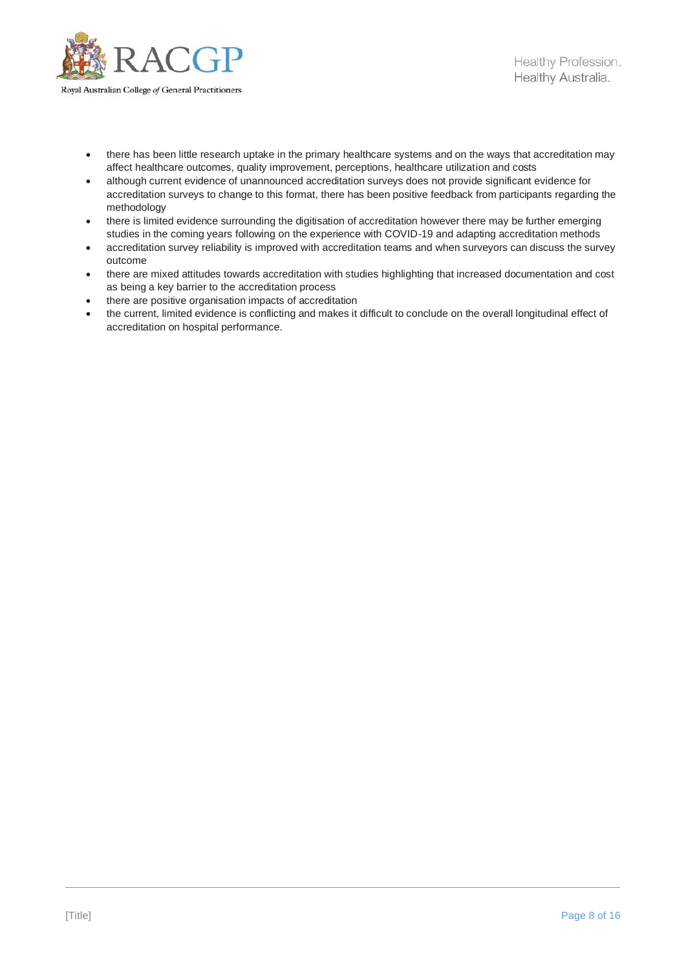

- there has been little research uptake in the primary healthcare systems and on the ways that accreditation may affect healthcare outcomes, quality improvement, perceptions, healthcare utilization and costs
- although current evidence of unannounced accreditation surveys does not provide significant evidence for accreditation surveys to change to this format, there has been positive feedback from participants regarding the methodology
- there is limited evidence surrounding the digitisation of accreditation however there may be further emerging studies in the coming years following on the experience with COVID-19 and adapting accreditation methods
- accreditation survey reliability is improved with accreditation teams and when surveyors can discuss the survey outcome
- there are mixed attitudes towards accreditation with studies highlighting that increased documentation and cost as being a key barrier to the accreditation process
- there are positive organisation impacts of accreditation
- the current, limited evidence is conflicting and makes it difficult to conclude on the overall longitudinal effect of accreditation on hospital performance.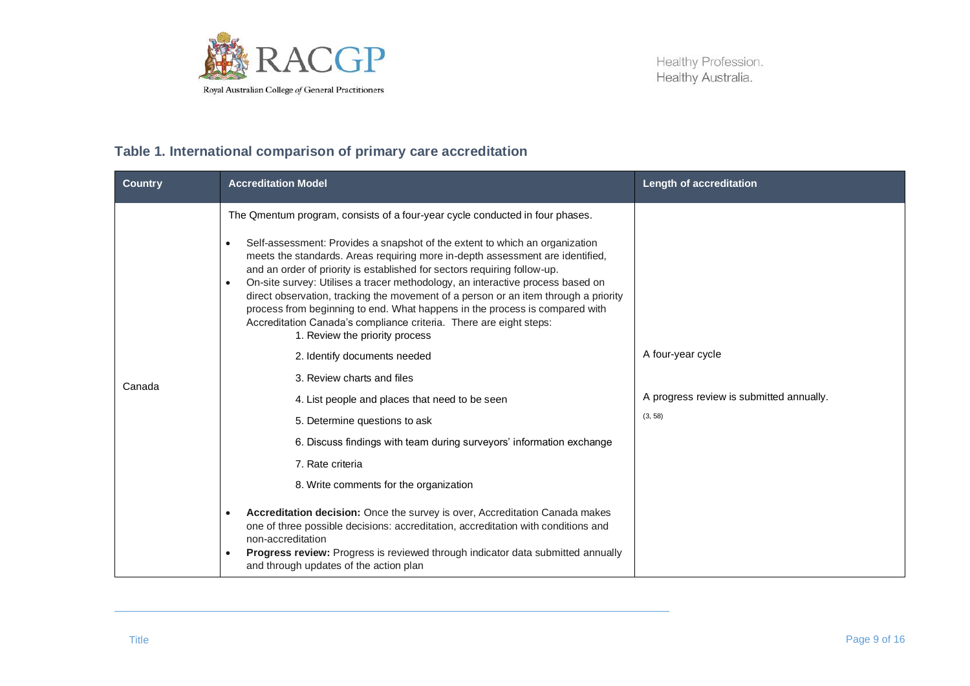

## **Table 1. International comparison of primary care accreditation**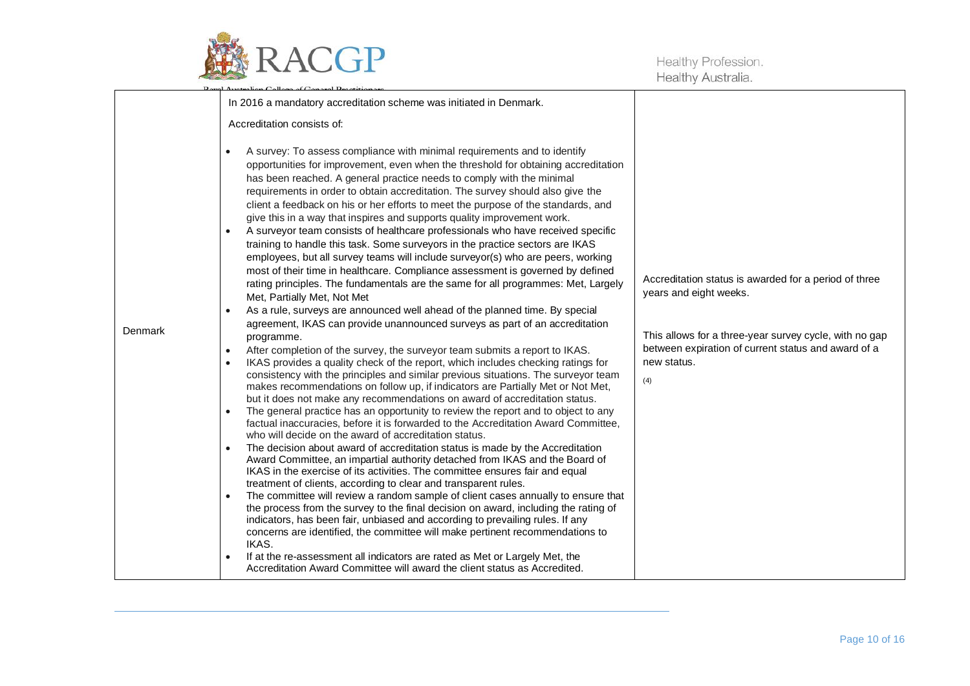

|         | In 2016 a mandatory accreditation scheme was initiated in Denmark.                                                                                                                                                                                                                                                                                                                                                                                                                                                                                                                                                                                                                                                                                                                                                                                                                                                                                                                                                                                                                                                                                                                                                                                                                                                                                                                                                                                                                                                                                                                                                                                                                                                                                                                                                                                                                                                                                                                                                                                                                                                                                                                                                                                                                                                                                                                                                                                                                                                                                                                                                                                                                                                   |                                                                                                                                                                                                                        |
|---------|----------------------------------------------------------------------------------------------------------------------------------------------------------------------------------------------------------------------------------------------------------------------------------------------------------------------------------------------------------------------------------------------------------------------------------------------------------------------------------------------------------------------------------------------------------------------------------------------------------------------------------------------------------------------------------------------------------------------------------------------------------------------------------------------------------------------------------------------------------------------------------------------------------------------------------------------------------------------------------------------------------------------------------------------------------------------------------------------------------------------------------------------------------------------------------------------------------------------------------------------------------------------------------------------------------------------------------------------------------------------------------------------------------------------------------------------------------------------------------------------------------------------------------------------------------------------------------------------------------------------------------------------------------------------------------------------------------------------------------------------------------------------------------------------------------------------------------------------------------------------------------------------------------------------------------------------------------------------------------------------------------------------------------------------------------------------------------------------------------------------------------------------------------------------------------------------------------------------------------------------------------------------------------------------------------------------------------------------------------------------------------------------------------------------------------------------------------------------------------------------------------------------------------------------------------------------------------------------------------------------------------------------------------------------------------------------------------------------|------------------------------------------------------------------------------------------------------------------------------------------------------------------------------------------------------------------------|
|         | Accreditation consists of:                                                                                                                                                                                                                                                                                                                                                                                                                                                                                                                                                                                                                                                                                                                                                                                                                                                                                                                                                                                                                                                                                                                                                                                                                                                                                                                                                                                                                                                                                                                                                                                                                                                                                                                                                                                                                                                                                                                                                                                                                                                                                                                                                                                                                                                                                                                                                                                                                                                                                                                                                                                                                                                                                           |                                                                                                                                                                                                                        |
| Denmark | A survey: To assess compliance with minimal requirements and to identify<br>$\bullet$<br>opportunities for improvement, even when the threshold for obtaining accreditation<br>has been reached. A general practice needs to comply with the minimal<br>requirements in order to obtain accreditation. The survey should also give the<br>client a feedback on his or her efforts to meet the purpose of the standards, and<br>give this in a way that inspires and supports quality improvement work.<br>A surveyor team consists of healthcare professionals who have received specific<br>training to handle this task. Some surveyors in the practice sectors are IKAS<br>employees, but all survey teams will include surveyor(s) who are peers, working<br>most of their time in healthcare. Compliance assessment is governed by defined<br>rating principles. The fundamentals are the same for all programmes: Met, Largely<br>Met, Partially Met, Not Met<br>As a rule, surveys are announced well ahead of the planned time. By special<br>agreement, IKAS can provide unannounced surveys as part of an accreditation<br>programme.<br>After completion of the survey, the surveyor team submits a report to IKAS.<br>$\bullet$<br>IKAS provides a quality check of the report, which includes checking ratings for<br>$\bullet$<br>consistency with the principles and similar previous situations. The surveyor team<br>makes recommendations on follow up, if indicators are Partially Met or Not Met,<br>but it does not make any recommendations on award of accreditation status.<br>The general practice has an opportunity to review the report and to object to any<br>$\bullet$<br>factual inaccuracies, before it is forwarded to the Accreditation Award Committee,<br>who will decide on the award of accreditation status.<br>The decision about award of accreditation status is made by the Accreditation<br>$\bullet$<br>Award Committee, an impartial authority detached from IKAS and the Board of<br>IKAS in the exercise of its activities. The committee ensures fair and equal<br>treatment of clients, according to clear and transparent rules.<br>The committee will review a random sample of client cases annually to ensure that<br>the process from the survey to the final decision on award, including the rating of<br>indicators, has been fair, unbiased and according to prevailing rules. If any<br>concerns are identified, the committee will make pertinent recommendations to<br>IKAS.<br>If at the re-assessment all indicators are rated as Met or Largely Met, the<br>$\bullet$<br>Accreditation Award Committee will award the client status as Accredited. | Accreditation status is awarded for a period of three<br>years and eight weeks.<br>This allows for a three-year survey cycle, with no gap<br>between expiration of current status and award of a<br>new status.<br>(4) |
|         |                                                                                                                                                                                                                                                                                                                                                                                                                                                                                                                                                                                                                                                                                                                                                                                                                                                                                                                                                                                                                                                                                                                                                                                                                                                                                                                                                                                                                                                                                                                                                                                                                                                                                                                                                                                                                                                                                                                                                                                                                                                                                                                                                                                                                                                                                                                                                                                                                                                                                                                                                                                                                                                                                                                      |                                                                                                                                                                                                                        |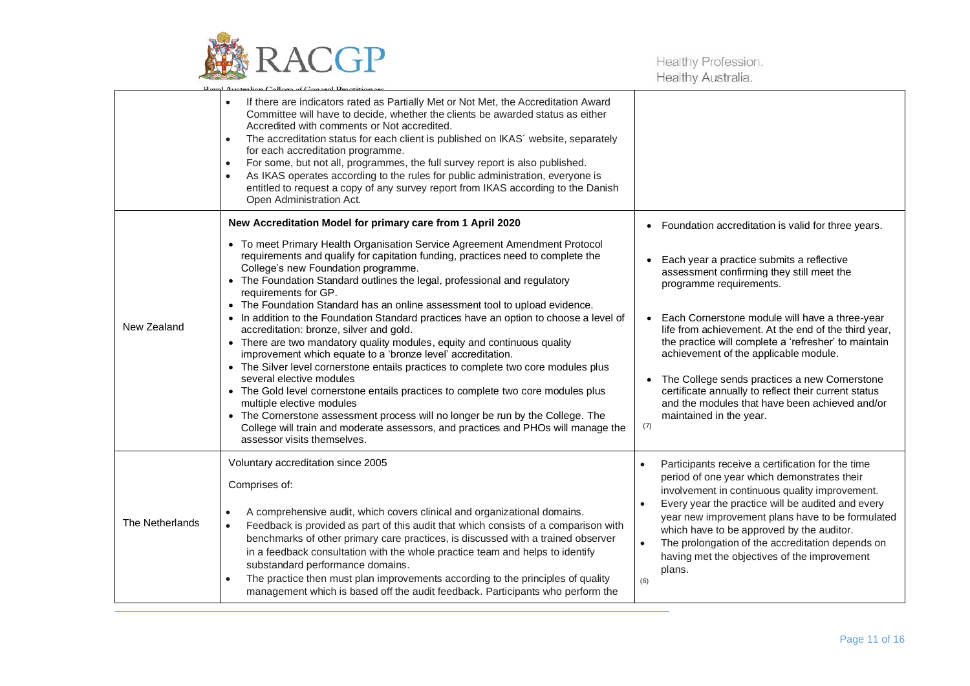

|                 | If there are indicators rated as Partially Met or Not Met, the Accreditation Award<br>$\bullet$<br>Committee will have to decide, whether the clients be awarded status as either<br>Accredited with comments or Not accredited.<br>The accreditation status for each client is published on IKAS' website, separately<br>$\bullet$<br>for each accreditation programme.<br>For some, but not all, programmes, the full survey report is also published.<br>$\bullet$<br>As IKAS operates according to the rules for public administration, everyone is<br>$\bullet$<br>entitled to request a copy of any survey report from IKAS according to the Danish<br>Open Administration Act.                                                                                                                                                                                                                                                                                                                                                                                                                                                      |                                                                                                                                                                                                                                                                                                                                                                                                                                                                                                                                                                                   |
|-----------------|--------------------------------------------------------------------------------------------------------------------------------------------------------------------------------------------------------------------------------------------------------------------------------------------------------------------------------------------------------------------------------------------------------------------------------------------------------------------------------------------------------------------------------------------------------------------------------------------------------------------------------------------------------------------------------------------------------------------------------------------------------------------------------------------------------------------------------------------------------------------------------------------------------------------------------------------------------------------------------------------------------------------------------------------------------------------------------------------------------------------------------------------|-----------------------------------------------------------------------------------------------------------------------------------------------------------------------------------------------------------------------------------------------------------------------------------------------------------------------------------------------------------------------------------------------------------------------------------------------------------------------------------------------------------------------------------------------------------------------------------|
| New Zealand     | New Accreditation Model for primary care from 1 April 2020<br>• To meet Primary Health Organisation Service Agreement Amendment Protocol<br>requirements and qualify for capitation funding, practices need to complete the<br>College's new Foundation programme.<br>The Foundation Standard outlines the legal, professional and regulatory<br>requirements for GP.<br>• The Foundation Standard has an online assessment tool to upload evidence.<br>• In addition to the Foundation Standard practices have an option to choose a level of<br>accreditation: bronze, silver and gold.<br>There are two mandatory quality modules, equity and continuous quality<br>improvement which equate to a 'bronze level' accreditation.<br>• The Silver level cornerstone entails practices to complete two core modules plus<br>several elective modules<br>The Gold level cornerstone entails practices to complete two core modules plus<br>multiple elective modules<br>• The Cornerstone assessment process will no longer be run by the College. The<br>College will train and moderate assessors, and practices and PHOs will manage the | • Foundation accreditation is valid for three years.<br>Each year a practice submits a reflective<br>assessment confirming they still meet the<br>programme requirements.<br>Each Cornerstone module will have a three-year<br>life from achievement. At the end of the third year,<br>the practice will complete a 'refresher' to maintain<br>achievement of the applicable module.<br>The College sends practices a new Cornerstone<br>certificate annually to reflect their current status<br>and the modules that have been achieved and/or<br>maintained in the year.<br>(7) |
|                 | assessor visits themselves.<br>Voluntary accreditation since 2005<br>Comprises of:                                                                                                                                                                                                                                                                                                                                                                                                                                                                                                                                                                                                                                                                                                                                                                                                                                                                                                                                                                                                                                                         | Participants receive a certification for the time<br>$\bullet$<br>period of one year which demonstrates their<br>involvement in continuous quality improvement.                                                                                                                                                                                                                                                                                                                                                                                                                   |
| The Netherlands | A comprehensive audit, which covers clinical and organizational domains.<br>$\bullet$<br>Feedback is provided as part of this audit that which consists of a comparison with<br>$\bullet$<br>benchmarks of other primary care practices, is discussed with a trained observer<br>in a feedback consultation with the whole practice team and helps to identify<br>substandard performance domains.<br>The practice then must plan improvements according to the principles of quality<br>$\bullet$<br>management which is based off the audit feedback. Participants who perform the                                                                                                                                                                                                                                                                                                                                                                                                                                                                                                                                                       | Every year the practice will be audited and every<br>$\bullet$<br>year new improvement plans have to be formulated<br>which have to be approved by the auditor.<br>The prolongation of the accreditation depends on<br>$\bullet$<br>having met the objectives of the improvement<br>plans.<br>(6)                                                                                                                                                                                                                                                                                 |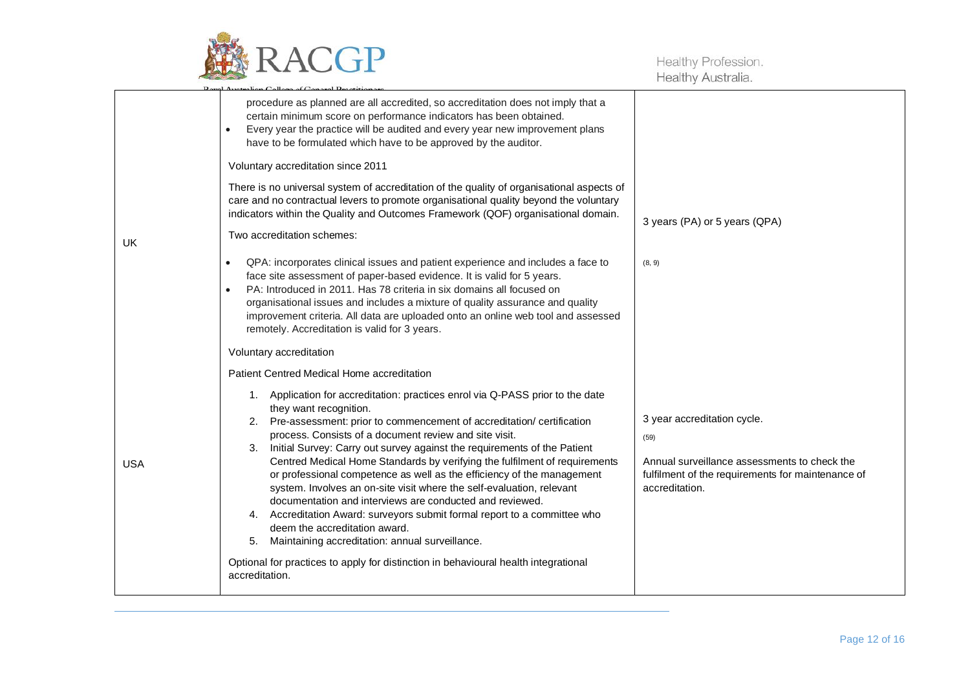

|            | procedure as planned are all accredited, so accreditation does not imply that a<br>certain minimum score on performance indicators has been obtained.<br>Every year the practice will be audited and every year new improvement plans<br>$\bullet$<br>have to be formulated which have to be approved by the auditor.                                                                                                                                                                                                                                                                                                                                                                                                                                                                                                                                                                                                                                                                  |                                                                                                                                                            |
|------------|----------------------------------------------------------------------------------------------------------------------------------------------------------------------------------------------------------------------------------------------------------------------------------------------------------------------------------------------------------------------------------------------------------------------------------------------------------------------------------------------------------------------------------------------------------------------------------------------------------------------------------------------------------------------------------------------------------------------------------------------------------------------------------------------------------------------------------------------------------------------------------------------------------------------------------------------------------------------------------------|------------------------------------------------------------------------------------------------------------------------------------------------------------|
| UK         | Voluntary accreditation since 2011<br>There is no universal system of accreditation of the quality of organisational aspects of<br>care and no contractual levers to promote organisational quality beyond the voluntary<br>indicators within the Quality and Outcomes Framework (QOF) organisational domain.<br>Two accreditation schemes:<br>QPA: incorporates clinical issues and patient experience and includes a face to<br>$\bullet$<br>face site assessment of paper-based evidence. It is valid for 5 years.<br>PA: Introduced in 2011. Has 78 criteria in six domains all focused on<br>$\bullet$<br>organisational issues and includes a mixture of quality assurance and quality<br>improvement criteria. All data are uploaded onto an online web tool and assessed<br>remotely. Accreditation is valid for 3 years.                                                                                                                                                      | 3 years (PA) or 5 years (QPA)<br>(8, 9)                                                                                                                    |
| <b>USA</b> | Voluntary accreditation<br>Patient Centred Medical Home accreditation<br>1. Application for accreditation: practices enrol via Q-PASS prior to the date<br>they want recognition.<br>2. Pre-assessment: prior to commencement of accreditation/ certification<br>process. Consists of a document review and site visit.<br>Initial Survey: Carry out survey against the requirements of the Patient<br>3.<br>Centred Medical Home Standards by verifying the fulfilment of requirements<br>or professional competence as well as the efficiency of the management<br>system. Involves an on-site visit where the self-evaluation, relevant<br>documentation and interviews are conducted and reviewed.<br>4. Accreditation Award: surveyors submit formal report to a committee who<br>deem the accreditation award.<br>Maintaining accreditation: annual surveillance.<br>5.<br>Optional for practices to apply for distinction in behavioural health integrational<br>accreditation. | 3 year accreditation cycle.<br>(59)<br>Annual surveillance assessments to check the<br>fulfilment of the requirements for maintenance of<br>accreditation. |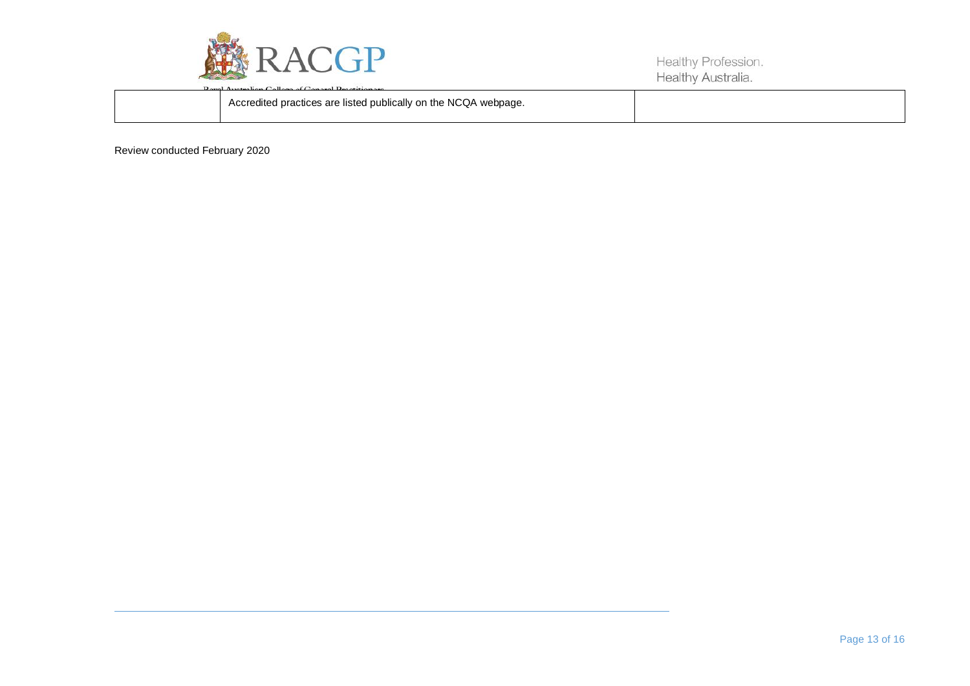

| <b>Lord Australian Lallage of Langes Legalizer and</b>          |  |
|-----------------------------------------------------------------|--|
| Accredited practices are listed publically on the NCQA webpage. |  |
|                                                                 |  |

Review conducted February 2020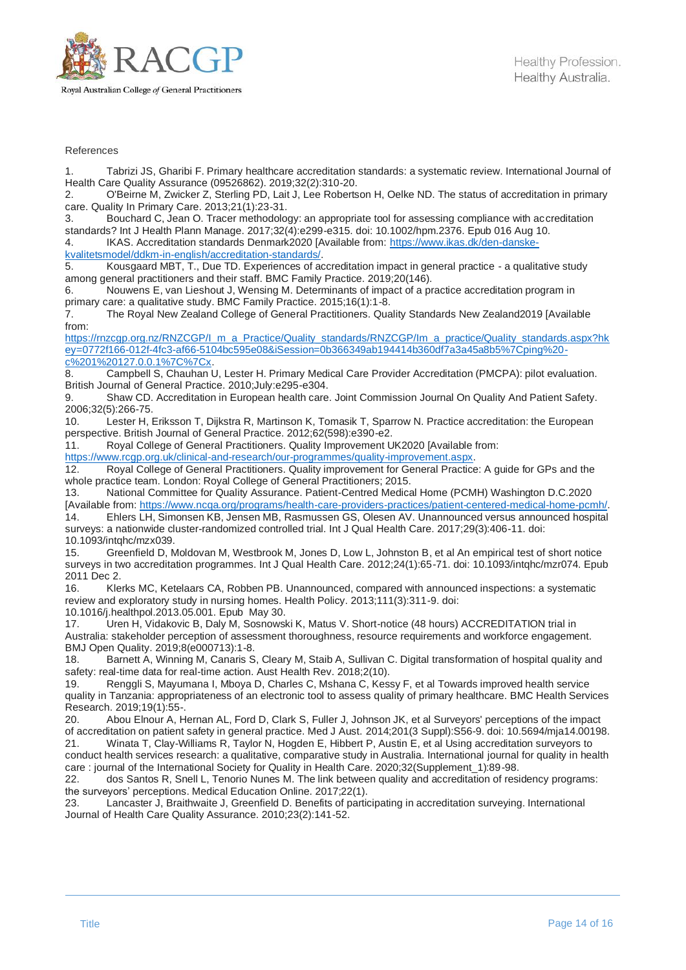

#### References

1. Tabrizi JS, Gharibi F. Primary healthcare accreditation standards: a systematic review. International Journal of Health Care Quality Assurance (09526862). 2019;32(2):310-20.

2. O'Beirne M, Zwicker Z, Sterling PD, Lait J, Lee Robertson H, Oelke ND. The status of accreditation in primary care. Quality In Primary Care. 2013;21(1):23-31.

3. Bouchard C, Jean O. Tracer methodology: an appropriate tool for assessing compliance with accreditation standards? Int J Health Plann Manage. 2017;32(4):e299-e315. doi: 10.1002/hpm.2376. Epub 016 Aug 10. 4. IKAS. Accreditation standards Denmark2020 [Available from: [https://www.ikas.dk/den-danske-](https://www.ikas.dk/den-danske-kvalitetsmodel/ddkm-in-english/accreditation-standards/)

[kvalitetsmodel/ddkm-in-english/accreditation-standards/.](https://www.ikas.dk/den-danske-kvalitetsmodel/ddkm-in-english/accreditation-standards/)

5. Kousgaard MBT, T., Due TD. Experiences of accreditation impact in general practice - a qualitative study among general practitioners and their staff. BMC Family Practice. 2019;20(146).

6. Nouwens E, van Lieshout J, Wensing M. Determinants of impact of a practice accreditation program in primary care: a qualitative study. BMC Family Practice. 2015;16(1):1-8.<br>7. The Roval New Zealand College of General Practitioners. Qua

7. The Royal New Zealand College of General Practitioners. Quality Standards New Zealand2019 [Available from:

[https://rnzcgp.org.nz/RNZCGP/I\\_m\\_a\\_Practice/Quality\\_standards/RNZCGP/Im\\_a\\_practice/Quality\\_standards.aspx?hk](https://rnzcgp.org.nz/RNZCGP/I_m_a_Practice/Quality_standards/RNZCGP/Im_a_practice/Quality_standards.aspx?hkey=0772f166-012f-4fc3-af66-5104bc595e08&iSession=0b366349ab194414b360df7a3a45a8b5%7Cping%20-c%201%20127.0.0.1%7C%7Cx) [ey=0772f166-012f-4fc3-af66-5104bc595e08&iSession=0b366349ab194414b360df7a3a45a8b5%7Cping%20](https://rnzcgp.org.nz/RNZCGP/I_m_a_Practice/Quality_standards/RNZCGP/Im_a_practice/Quality_standards.aspx?hkey=0772f166-012f-4fc3-af66-5104bc595e08&iSession=0b366349ab194414b360df7a3a45a8b5%7Cping%20-c%201%20127.0.0.1%7C%7Cx) [c%201%20127.0.0.1%7C%7Cx.](https://rnzcgp.org.nz/RNZCGP/I_m_a_Practice/Quality_standards/RNZCGP/Im_a_practice/Quality_standards.aspx?hkey=0772f166-012f-4fc3-af66-5104bc595e08&iSession=0b366349ab194414b360df7a3a45a8b5%7Cping%20-c%201%20127.0.0.1%7C%7Cx)

8. Campbell S, Chauhan U, Lester H. Primary Medical Care Provider Accreditation (PMCPA): pilot evaluation. British Journal of General Practice. 2010;July:e295-e304.

9. Shaw CD. Accreditation in European health care. Joint Commission Journal On Quality And Patient Safety. 2006;32(5):266-75.<br>10. Lester H, I

Lester H, Eriksson T, Dijkstra R, Martinson K, Tomasik T, Sparrow N. Practice accreditation: the European perspective. British Journal of General Practice. 2012;62(598):e390-e2.

11. Royal College of General Practitioners. Quality Improvement UK2020 [Available from:

[https://www.rcgp.org.uk/clinical-and-research/our-programmes/quality-improvement.aspx.](https://www.rcgp.org.uk/clinical-and-research/our-programmes/quality-improvement.aspx)

12. Royal College of General Practitioners. Quality improvement for General Practice: A guide for GPs and the whole practice team. London: Royal College of General Practitioners; 2015.

13. National Committee for Quality Assurance. Patient-Centred Medical Home (PCMH) Washington D.C.2020 [Available from: [https://www.ncqa.org/programs/health-care-providers-practices/patient-centered-medical-home-pcmh/.](https://www.ncqa.org/programs/health-care-providers-practices/patient-centered-medical-home-pcmh/)

14. Ehlers LH, Simonsen KB, Jensen MB, Rasmussen GS, Olesen AV. Unannounced versus announced hospital surveys: a nationwide cluster-randomized controlled trial. Int J Qual Health Care. 2017;29(3):406-11. doi: 10.1093/intqhc/mzx039.

15. Greenfield D, Moldovan M, Westbrook M, Jones D, Low L, Johnston B, et al An empirical test of short notice surveys in two accreditation programmes. Int J Qual Health Care. 2012;24(1):65-71. doi: 10.1093/intqhc/mzr074. Epub 2011 Dec 2.

16. Klerks MC, Ketelaars CA, Robben PB. Unannounced, compared with announced inspections: a systematic review and exploratory study in nursing homes. Health Policy. 2013;111(3):311-9. doi:

10.1016/j.healthpol.2013.05.001. Epub May 30.

17. Uren H, Vidakovic B, Daly M, Sosnowski K, Matus V. Short-notice (48 hours) ACCREDITATION trial in Australia: stakeholder perception of assessment thoroughness, resource requirements and workforce engagement. BMJ Open Quality. 2019;8(e000713):1-8.

18. Barnett A, Winning M, Canaris S, Cleary M, Staib A, Sullivan C. Digital transformation of hospital quality and safety: real-time data for real-time action. Aust Health Rev. 2018;2(10).

19. Renggli S, Mayumana I, Mboya D, Charles C, Mshana C, Kessy F, et al Towards improved health service quality in Tanzania: appropriateness of an electronic tool to assess quality of primary healthcare. BMC Health Services Research. 2019;19(1):55-.

20. Abou Elnour A, Hernan AL, Ford D, Clark S, Fuller J, Johnson JK, et al Surveyors' perceptions of the impact of accreditation on patient safety in general practice. Med J Aust. 2014;201(3 Suppl):S56-9. doi: 10.5694/mja14.00198.

21. Winata T, Clay-Williams R, Taylor N, Hogden E, Hibbert P, Austin E, et al Using accreditation surveyors to conduct health services research: a qualitative, comparative study in Australia. International journal for quality in health care : journal of the International Society for Quality in Health Care. 2020;32(Supplement\_1):89-98.

22. dos Santos R, Snell L, Tenorio Nunes M. The link between quality and accreditation of residency programs: the surveyors' perceptions. Medical Education Online. 2017;22(1).

23. Lancaster J, Braithwaite J, Greenfield D. Benefits of participating in accreditation surveying. International Journal of Health Care Quality Assurance. 2010;23(2):141-52.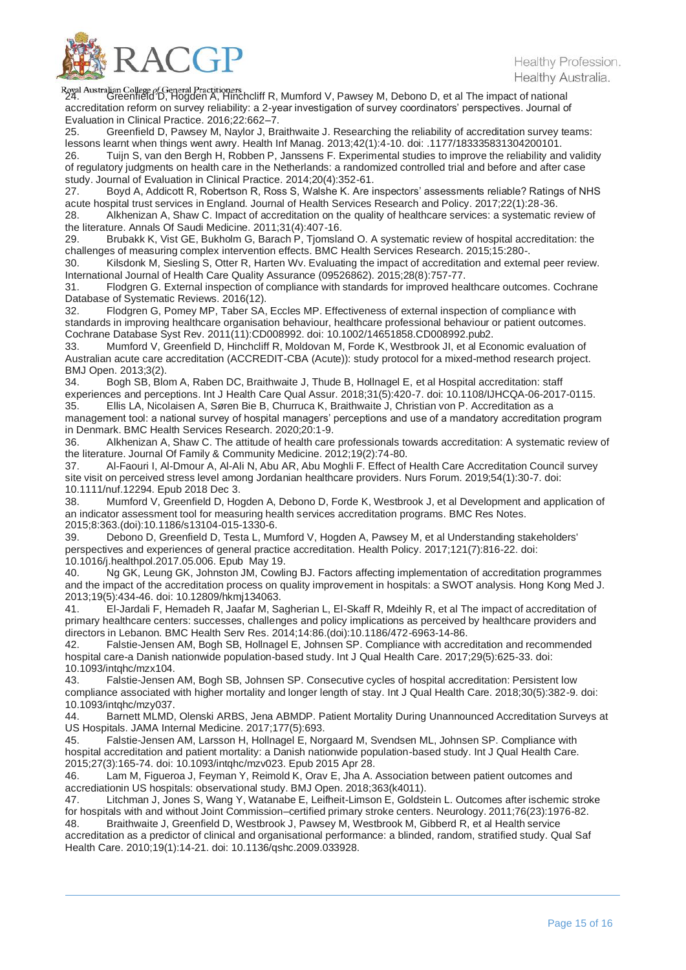

Royal Australian College *of* General Practitioners<br>24. Greenfield D, Hogden A, Hinchcliff R, Mumford V, Pawsey M, Debono D, et al The impact of national accreditation reform on survey reliability: a 2-year investigation of survey coordinators' perspectives. Journal of Evaluation in Clinical Practice. 2016;22:662–7.

Greenfield D, Pawsey M, Naylor J, Braithwaite J. Researching the reliability of accreditation survey teams: lessons learnt when things went awry. Health Inf Manag. 2013;42(1):4-10. doi: .1177/183335831304200101.

26. Tuijn S, van den Bergh H, Robben P, Janssens F. Experimental studies to improve the reliability and validity of regulatory judgments on health care in the Netherlands: a randomized controlled trial and before and after case study. Journal of Evaluation in Clinical Practice. 2014;20(4):352-61.

27. Boyd A, Addicott R, Robertson R, Ross S, Walshe K. Are inspectors' assessments reliable? Ratings of NHS acute hospital trust services in England. Journal of Health Services Research and Policy. 2017;22(1):28-36.

28. Alkhenizan A, Shaw C. Impact of accreditation on the quality of healthcare services: a systematic review of the literature. Annals Of Saudi Medicine. 2011;31(4):407-16.

29. Brubakk K, Vist GE, Bukholm G, Barach P, Tjomsland O. A systematic review of hospital accreditation: the challenges of measuring complex intervention effects. BMC Health Services Research. 2015;15:280-.<br>30 Kilsdonk M. Siesling S. Otter R. Harten Wy, Evaluating the impact of accreditation and extern

Kilsdonk M, Siesling S, Otter R, Harten Wv. Evaluating the impact of accreditation and external peer review. International Journal of Health Care Quality Assurance (09526862). 2015;28(8):757-77.

31. Flodgren G. External inspection of compliance with standards for improved healthcare outcomes. Cochrane Database of Systematic Reviews. 2016(12).<br>32. Flodgren G. Pomev MP. Taber SA.

Flodgren G, Pomey MP, Taber SA, Eccles MP. Effectiveness of external inspection of compliance with standards in improving healthcare organisation behaviour, healthcare professional behaviour or patient outcomes. Cochrane Database Syst Rev. 2011(11):CD008992. doi: 10.1002/14651858.CD008992.pub2.

33. Mumford V, Greenfield D, Hinchcliff R, Moldovan M, Forde K, Westbrook JI, et al Economic evaluation of Australian acute care accreditation (ACCREDIT-CBA (Acute)): study protocol for a mixed-method research project. BMJ Open. 2013;3(2).<br>34. Bogh SB. Blo

Bogh SB, Blom A, Raben DC, Braithwaite J, Thude B, Hollnagel E, et al Hospital accreditation: staff experiences and perceptions. Int J Health Care Qual Assur. 2018;31(5):420-7. doi: 10.1108/IJHCQA-06-2017-0115. 35. Ellis LA, Nicolaisen A, Søren Bie B, Churruca K, Braithwaite J, Christian von P. Accreditation as a

management tool: a national survey of hospital managers' perceptions and use of a mandatory accreditation program in Denmark. BMC Health Services Research. 2020;20:1-9.

36. Alkhenizan A, Shaw C. The attitude of health care professionals towards accreditation: A systematic review of the literature. Journal Of Family & Community Medicine. 2012;19(2):74-80.

37. Al-Faouri I, Al-Dmour A, Al-Ali N, Abu AR, Abu Moghli F. Effect of Health Care Accreditation Council survey site visit on perceived stress level among Jordanian healthcare providers. Nurs Forum. 2019;54(1):30-7. doi: 10.1111/nuf.12294. Epub 2018 Dec 3.

38. Mumford V, Greenfield D, Hogden A, Debono D, Forde K, Westbrook J, et al Development and application of an indicator assessment tool for measuring health services accreditation programs. BMC Res Notes. 2015;8:363.(doi):10.1186/s13104-015-1330-6.

39. Debono D, Greenfield D, Testa L, Mumford V, Hogden A, Pawsey M, et al Understanding stakeholders' perspectives and experiences of general practice accreditation. Health Policy. 2017;121(7):816-22. doi: 10.1016/j.healthpol.2017.05.006. Epub May 19.

Ng GK, Leung GK, Johnston JM, Cowling BJ. Factors affecting implementation of accreditation programmes and the impact of the accreditation process on quality improvement in hospitals: a SWOT analysis. Hong Kong Med J. 2013;19(5):434-46. doi: 10.12809/hkmj134063.

41. El-Jardali F, Hemadeh R, Jaafar M, Sagherian L, El-Skaff R, Mdeihly R, et al The impact of accreditation of primary healthcare centers: successes, challenges and policy implications as perceived by healthcare providers and directors in Lebanon. BMC Health Serv Res. 2014;14:86.(doi):10.1186/472-6963-14-86.

42. Falstie-Jensen AM, Bogh SB, Hollnagel E, Johnsen SP. Compliance with accreditation and recommended hospital care-a Danish nationwide population-based study. Int J Qual Health Care. 2017;29(5):625-33. doi: 10.1093/intqhc/mzx104.

43. Falstie-Jensen AM, Bogh SB, Johnsen SP. Consecutive cycles of hospital accreditation: Persistent low compliance associated with higher mortality and longer length of stay. Int J Qual Health Care. 2018;30(5):382-9. doi: 10.1093/intqhc/mzy037.

44. Barnett MLMD, Olenski ARBS, Jena ABMDP. Patient Mortality During Unannounced Accreditation Surveys at US Hospitals. JAMA Internal Medicine. 2017;177(5):693.

45. Falstie-Jensen AM, Larsson H, Hollnagel E, Norgaard M, Svendsen ML, Johnsen SP. Compliance with hospital accreditation and patient mortality: a Danish nationwide population-based study. Int J Qual Health Care. 2015;27(3):165-74. doi: 10.1093/intqhc/mzv023. Epub 2015 Apr 28.

46. Lam M, Figueroa J, Feyman Y, Reimold K, Orav E, Jha A. Association between patient outcomes and accrediationin US hospitals: observational study. BMJ Open. 2018;363(k4011).

47. Litchman J, Jones S, Wang Y, Watanabe E, Leifheit-Limson E, Goldstein L. Outcomes after ischemic stroke for hospitals with and without Joint Commission–certified primary stroke centers. Neurology. 2011;76(23):1976-82. 48. Braithwaite J, Greenfield D, Westbrook J, Pawsey M, Westbrook M, Gibberd R, et al Health service

accreditation as a predictor of clinical and organisational performance: a blinded, random, stratified study. Qual Saf Health Care. 2010;19(1):14-21. doi: 10.1136/qshc.2009.033928.